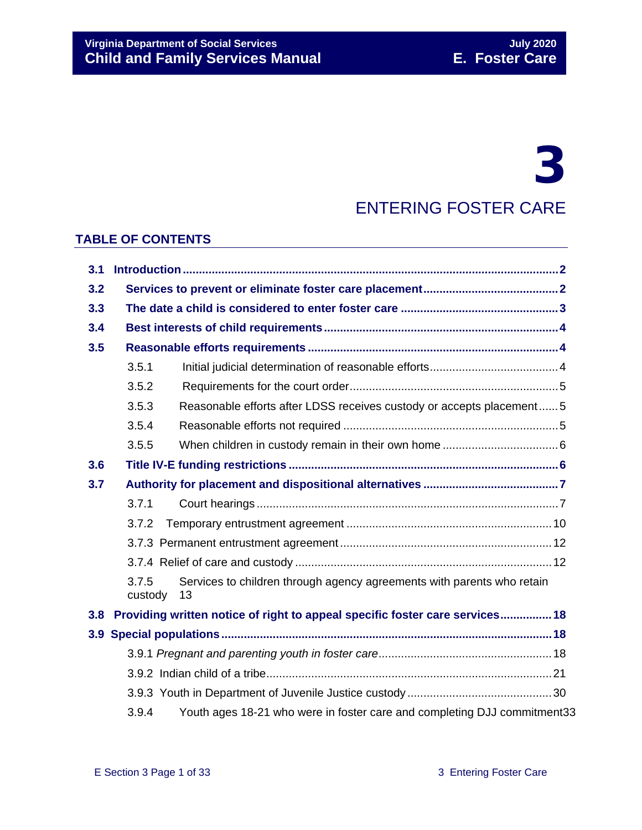# 3

# ENTERING FOSTER CARE

#### **TABLE OF CONTENTS**

| 3.1              |                                                                              |                                                                              |
|------------------|------------------------------------------------------------------------------|------------------------------------------------------------------------------|
| 3.2              |                                                                              |                                                                              |
| 3.3              |                                                                              |                                                                              |
| 3.4              |                                                                              |                                                                              |
| 3.5              |                                                                              |                                                                              |
|                  | 3.5.1                                                                        |                                                                              |
|                  | 3.5.2                                                                        |                                                                              |
|                  | 3.5.3                                                                        | Reasonable efforts after LDSS receives custody or accepts placement 5        |
|                  | 3.5.4                                                                        |                                                                              |
|                  | 3.5.5                                                                        |                                                                              |
| 3.6              |                                                                              |                                                                              |
| 3.7              |                                                                              |                                                                              |
|                  | 3.7.1                                                                        |                                                                              |
|                  | 3.7.2                                                                        |                                                                              |
|                  |                                                                              |                                                                              |
|                  |                                                                              |                                                                              |
|                  | 3.7.5<br>custody                                                             | Services to children through agency agreements with parents who retain<br>13 |
| 3.8 <sub>2</sub> | Providing written notice of right to appeal specific foster care services 18 |                                                                              |
|                  |                                                                              |                                                                              |
|                  |                                                                              |                                                                              |
|                  |                                                                              |                                                                              |
|                  |                                                                              |                                                                              |
|                  | 3.9.4                                                                        | Youth ages 18-21 who were in foster care and completing DJJ commitment33     |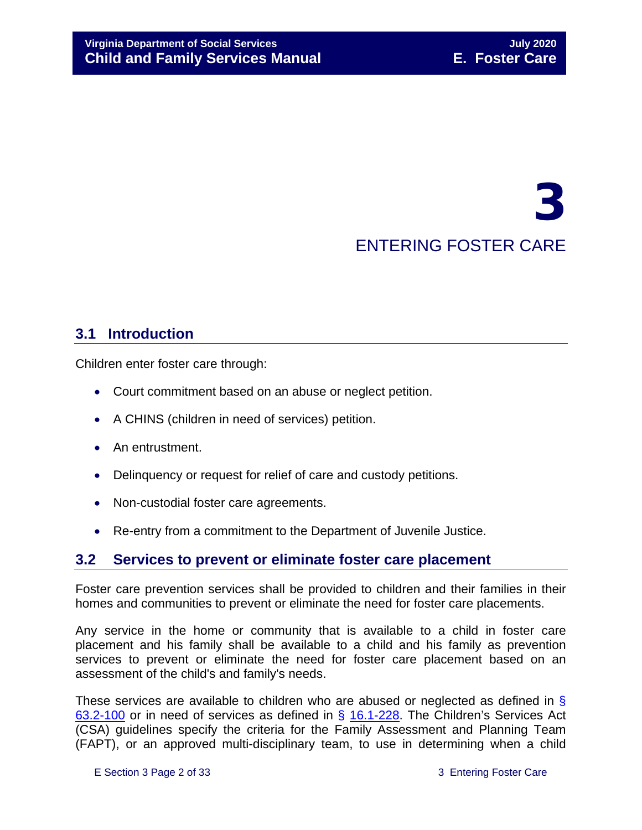# 3 ENTERING FOSTER CARE

# <span id="page-1-0"></span>**3.1 Introduction**

Children enter foster care through:

- Court commitment based on an abuse or neglect petition.
- A CHINS (children in need of services) petition.
- An entrustment.
- Delinquency or request for relief of care and custody petitions.
- Non-custodial foster care agreements.
- Re-entry from a commitment to the Department of Juvenile Justice.

# <span id="page-1-1"></span>**3.2 Services to prevent or eliminate foster care placement**

Foster care prevention services shall be provided to children and their families in their homes and communities to prevent or eliminate the need for foster care placements.

Any service in the home or community that is available to a child in foster care placement and his family shall be available to a child and his family as prevention services to prevent or eliminate the need for foster care placement based on an assessment of the child's and family's needs.

These services are available to children who are abused or neglected as defined in § [63.2-100](https://law.lis.virginia.gov/vacode/63.2-100/) or in need of services as defined in § [16.1-228.](https://law.lis.virginia.gov/vacode/16.1-228/) The Children's Services Act (CSA) guidelines specify the criteria for the Family Assessment and Planning Team (FAPT), or an approved multi-disciplinary team, to use in determining when a child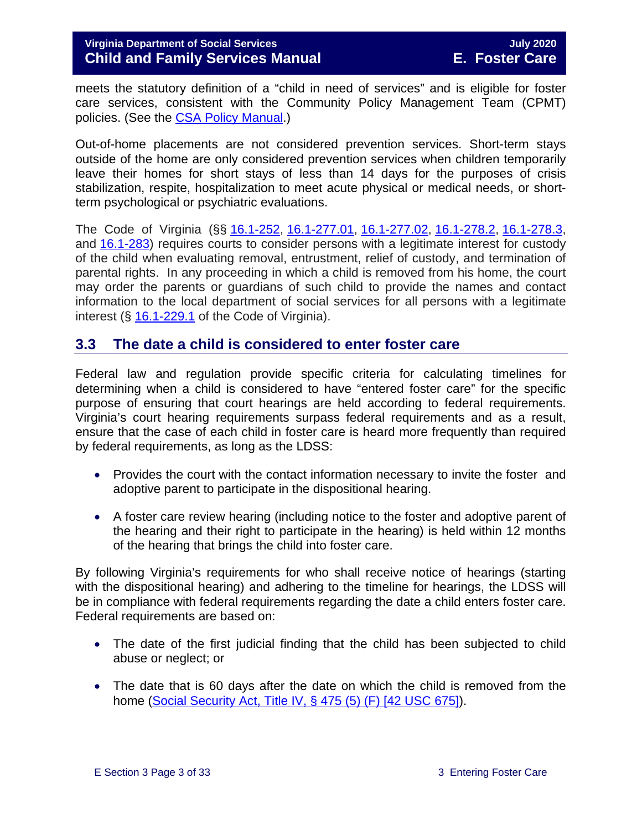meets the statutory definition of a "child in need of services" and is eligible for foster care services, consistent with the Community Policy Management Team (CPMT) policies. (See the [CSA Policy Manual.](http://www.csa.virginia.gov/CSAManual.cfm))

Out-of-home placements are not considered prevention services. Short-term stays outside of the home are only considered prevention services when children temporarily leave their homes for short stays of less than 14 days for the purposes of crisis stabilization, respite, hospitalization to meet acute physical or medical needs, or shortterm psychological or psychiatric evaluations.

The Code of Virginia (§§ [16.1-252,](https://law.lis.virginia.gov/vacode/title16.1/chapter11/section16.1-252/) [16.1-277.01,](https://law.lis.virginia.gov/vacode/title16.1/chapter11/section16.1-277.01/) [16.1-277.02,](https://law.lis.virginia.gov/vacode/title16.1/chapter11/section16.1-277.02/) [16.1-278.2,](https://law.lis.virginia.gov/vacode/title16.1/chapter11/section16.1-278.2/) [16.1-278.3,](https://law.lis.virginia.gov/vacode/title16.1/chapter11/section16.1-278.3/) and [16.1-283\)](https://law.lis.virginia.gov/vacode/title16.1/chapter11/section16.1-283/) requires courts to consider persons with a legitimate interest for custody of the child when evaluating removal, entrustment, relief of custody, and termination of parental rights. In any proceeding in which a child is removed from his home, the court may order the parents or guardians of such child to provide the names and contact information to the local department of social services for all persons with a legitimate interest (§ [16.1-229.1](https://law.lis.virginia.gov/vacode/title16.1/) of the Code of Virginia).

### <span id="page-2-0"></span>**3.3 The date a child is considered to enter foster care**

Federal law and regulation provide specific criteria for calculating timelines for determining when a child is considered to have "entered foster care" for the specific purpose of ensuring that court hearings are held according to federal requirements. Virginia's court hearing requirements surpass federal requirements and as a result, ensure that the case of each child in foster care is heard more frequently than required by federal requirements, as long as the LDSS:

- Provides the court with the contact information necessary to invite the foster and adoptive parent to participate in the dispositional hearing.
- A foster care review hearing (including notice to the foster and adoptive parent of the hearing and their right to participate in the hearing) is held within 12 months of the hearing that brings the child into foster care.

By following Virginia's requirements for who shall receive notice of hearings (starting with the dispositional hearing) and adhering to the timeline for hearings, the LDSS will be in compliance with federal requirements regarding the date a child enters foster care. Federal requirements are based on:

- The date of the first judicial finding that the child has been subjected to child abuse or neglect; or
- The date that is 60 days after the date on which the child is removed from the home [\(Social Security Act, Title IV, § 475 \(5\) \(F\) \[42 USC 675\]\)](http://www.ssa.gov/OP_Home/ssact/title04/0475.htm).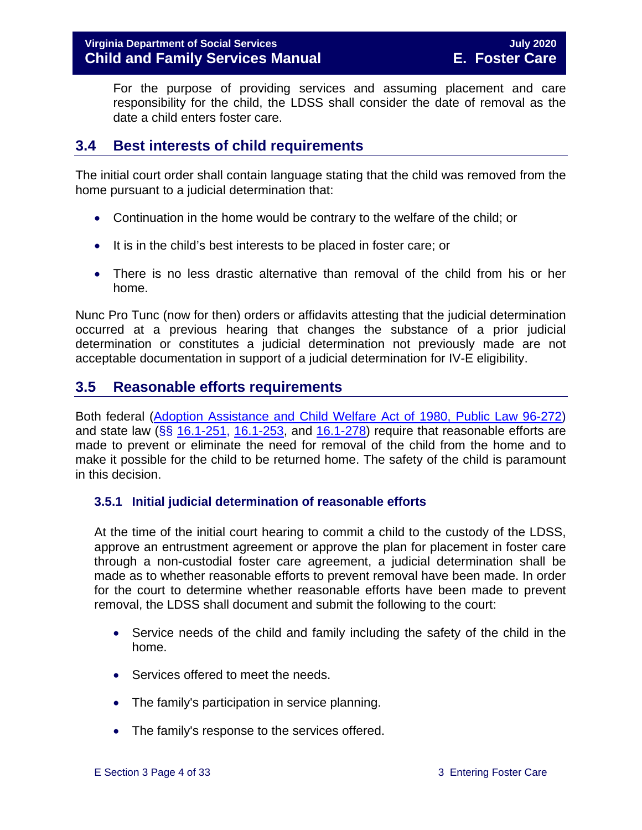For the purpose of providing services and assuming placement and care responsibility for the child, the LDSS shall consider the date of removal as the date a child enters foster care.

# <span id="page-3-0"></span>**3.4 Best interests of child requirements**

The initial court order shall contain language stating that the child was removed from the home pursuant to a judicial determination that:

- Continuation in the home would be contrary to the welfare of the child; or
- It is in the child's best interests to be placed in foster care; or
- There is no less drastic alternative than removal of the child from his or her home.

Nunc Pro Tunc (now for then) orders or affidavits attesting that the judicial determination occurred at a previous hearing that changes the substance of a prior judicial determination or constitutes a judicial determination not previously made are not acceptable documentation in support of a judicial determination for IV-E eligibility.

# <span id="page-3-1"></span>**3.5 Reasonable efforts requirements**

Both federal [\(Adoption Assistance and Child Welfare Act of 1980, Public Law 96-272\)](http://www.ssa.gov/OP_Home/comp2/F096-272.html) and state law ( $\S$ § [16.1-251,](https://law.lis.virginia.gov/vacode/16.1-251/) [16.1-253,](https://law.lis.virginia.gov/vacode/title16.1/chapter11/section16.1-253/) and  $16.1-278$ ) require that reasonable efforts are made to prevent or eliminate the need for removal of the child from the home and to make it possible for the child to be returned home. The safety of the child is paramount in this decision.

#### <span id="page-3-2"></span>**3.5.1 Initial judicial determination of reasonable efforts**

At the time of the initial court hearing to commit a child to the custody of the LDSS, approve an entrustment agreement or approve the plan for placement in foster care through a non-custodial foster care agreement, a judicial determination shall be made as to whether reasonable efforts to prevent removal have been made. In order for the court to determine whether reasonable efforts have been made to prevent removal, the LDSS shall document and submit the following to the court:

- Service needs of the child and family including the safety of the child in the home.
- Services offered to meet the needs.
- The family's participation in service planning.
- The family's response to the services offered.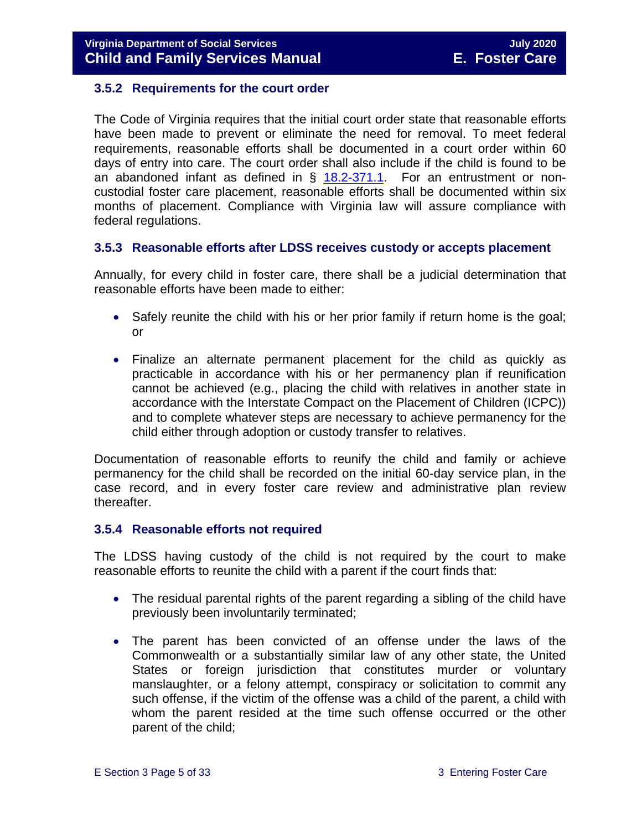#### <span id="page-4-0"></span>**3.5.2 Requirements for the court order**

The Code of Virginia requires that the initial court order state that reasonable efforts have been made to prevent or eliminate the need for removal. To meet federal requirements, reasonable efforts shall be documented in a court order within 60 days of entry into care. The court order shall also include if the child is found to be an abandoned infant as defined in  $\S$  [18.2-371.1.](https://law.lis.virginia.gov/vacode/18.2-371.1/) For an entrustment or noncustodial foster care placement, reasonable efforts shall be documented within six months of placement. Compliance with Virginia law will assure compliance with federal regulations.

#### <span id="page-4-1"></span>**3.5.3 Reasonable efforts after LDSS receives custody or accepts placement**

Annually, for every child in foster care, there shall be a judicial determination that reasonable efforts have been made to either:

- Safely reunite the child with his or her prior family if return home is the goal; or
- Finalize an alternate permanent placement for the child as quickly as practicable in accordance with his or her permanency plan if reunification cannot be achieved (e.g., placing the child with relatives in another state in accordance with the Interstate Compact on the Placement of Children (ICPC)) and to complete whatever steps are necessary to achieve permanency for the child either through adoption or custody transfer to relatives.

Documentation of reasonable efforts to reunify the child and family or achieve permanency for the child shall be recorded on the initial 60-day service plan, in the case record, and in every foster care review and administrative plan review thereafter.

#### <span id="page-4-2"></span>**3.5.4 Reasonable efforts not required**

The LDSS having custody of the child is not required by the court to make reasonable efforts to reunite the child with a parent if the court finds that:

- The residual parental rights of the parent regarding a sibling of the child have previously been involuntarily terminated;
- The parent has been convicted of an offense under the laws of the Commonwealth or a substantially similar law of any other state, the United States or foreign jurisdiction that constitutes murder or voluntary manslaughter, or a felony attempt, conspiracy or solicitation to commit any such offense, if the victim of the offense was a child of the parent, a child with whom the parent resided at the time such offense occurred or the other parent of the child;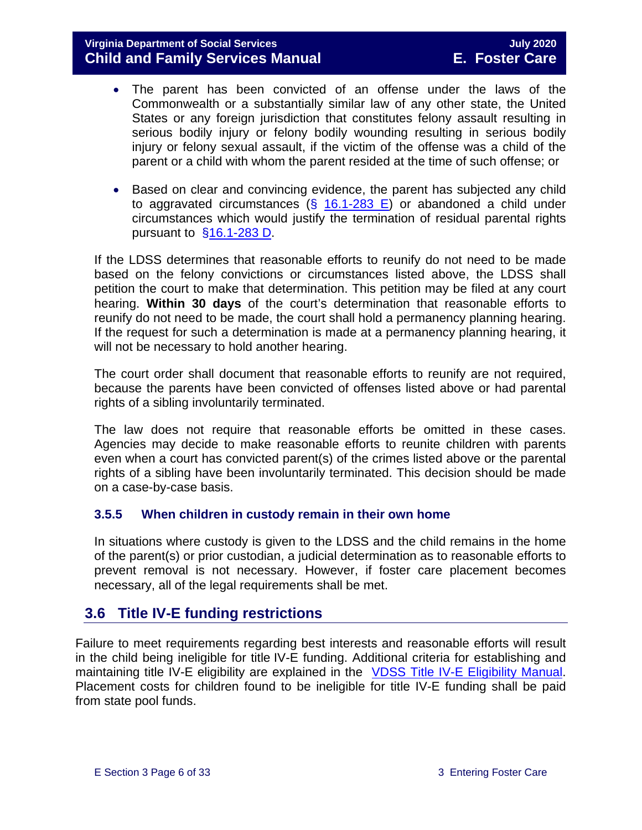#### **Virginia Department of Social Services July 2020 Child and Family Services Manual E. Foster Care**

- The parent has been convicted of an offense under the laws of the Commonwealth or a substantially similar law of any other state, the United States or any foreign jurisdiction that constitutes felony assault resulting in serious bodily injury or felony bodily wounding resulting in serious bodily injury or felony sexual assault, if the victim of the offense was a child of the parent or a child with whom the parent resided at the time of such offense; or
- Based on clear and convincing evidence, the parent has subjected any child to aggravated circumstances ( $\S$  [16.1-283 E\)](https://law.lis.virginia.gov/vacode/16.1-283/) or abandoned a child under circumstances which would justify the termination of residual parental rights pursuant to  $§16.1-283$  D.

If the LDSS determines that reasonable efforts to reunify do not need to be made based on the felony convictions or circumstances listed above, the LDSS shall petition the court to make that determination. This petition may be filed at any court hearing. **Within 30 days** of the court's determination that reasonable efforts to reunify do not need to be made, the court shall hold a permanency planning hearing. If the request for such a determination is made at a permanency planning hearing, it will not be necessary to hold another hearing.

The court order shall document that reasonable efforts to reunify are not required, because the parents have been convicted of offenses listed above or had parental rights of a sibling involuntarily terminated.

The law does not require that reasonable efforts be omitted in these cases. Agencies may decide to make reasonable efforts to reunite children with parents even when a court has convicted parent(s) of the crimes listed above or the parental rights of a sibling have been involuntarily terminated. This decision should be made on a case-by-case basis.

#### <span id="page-5-0"></span>**3.5.5 When children in custody remain in their own home**

In situations where custody is given to the LDSS and the child remains in the home of the parent(s) or prior custodian, a judicial determination as to reasonable efforts to prevent removal is not necessary. However, if foster care placement becomes necessary, all of the legal requirements shall be met.

# <span id="page-5-1"></span>**3.6 Title IV-E funding restrictions**

Failure to meet requirements regarding best interests and reasonable efforts will result in the child being ineligible for title IV-E funding. Additional criteria for establishing and maintaining title IV-E eligibility are explained in the [VDSS Title IV-E Eligibility Manual.](https://fusion.dss.virginia.gov/dfs/DFS-Home/Title-IV-E/Title-IV-E-Guidance) Placement costs for children found to be ineligible for title IV-E funding shall be paid from state pool funds.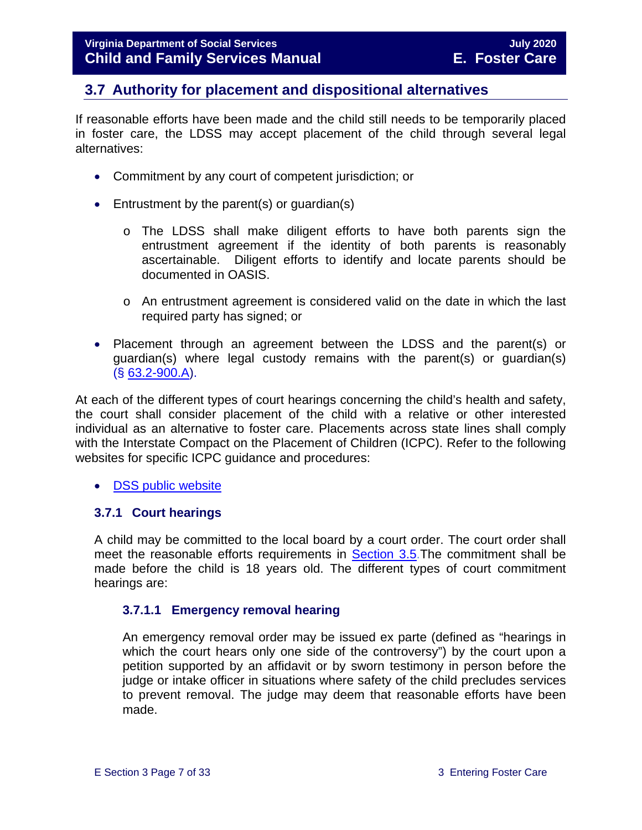# <span id="page-6-0"></span>**3.7 Authority for placement and dispositional alternatives**

If reasonable efforts have been made and the child still needs to be temporarily placed in foster care, the LDSS may accept placement of the child through several legal alternatives:

- Commitment by any court of competent jurisdiction; or
- Entrustment by the parent(s) or quardian(s)
	- o The LDSS shall make diligent efforts to have both parents sign the entrustment agreement if the identity of both parents is reasonably ascertainable. Diligent efforts to identify and locate parents should be documented in OASIS.
	- o An entrustment agreement is considered valid on the date in which the last required party has signed; or
- Placement through an agreement between the LDSS and the parent(s) or guardian(s) where legal custody remains with the parent(s) or guardian(s) (§ [63.2-900.A\)](https://law.lis.virginia.gov/vacode/63.2-900/).

At each of the different types of court hearings concerning the child's health and safety, the court shall consider placement of the child with a relative or other interested individual as an alternative to foster care. Placements across state lines shall comply with the Interstate Compact on the Placement of Children (ICPC). Refer to the following websites for specific ICPC guidance and procedures:

• [DSS public website](http://www.dss.virginia.gov/family/icpc/index.cgi)

#### <span id="page-6-1"></span>**3.7.1 Court hearings**

A child may be committed to the local board by a court order. The court order shall meet the reasonable efforts requirements in [Section 3.5.](#page-3-1)The commitment shall be made before the child is 18 years old. The different types of court commitment hearings are:

#### **3.7.1.1 Emergency removal hearing**

An emergency removal order may be issued ex parte (defined as "hearings in which the court hears only one side of the controversy") by the court upon a petition supported by an affidavit or by sworn testimony in person before the judge or intake officer in situations where safety of the child precludes services to prevent removal. The judge may deem that reasonable efforts have been made.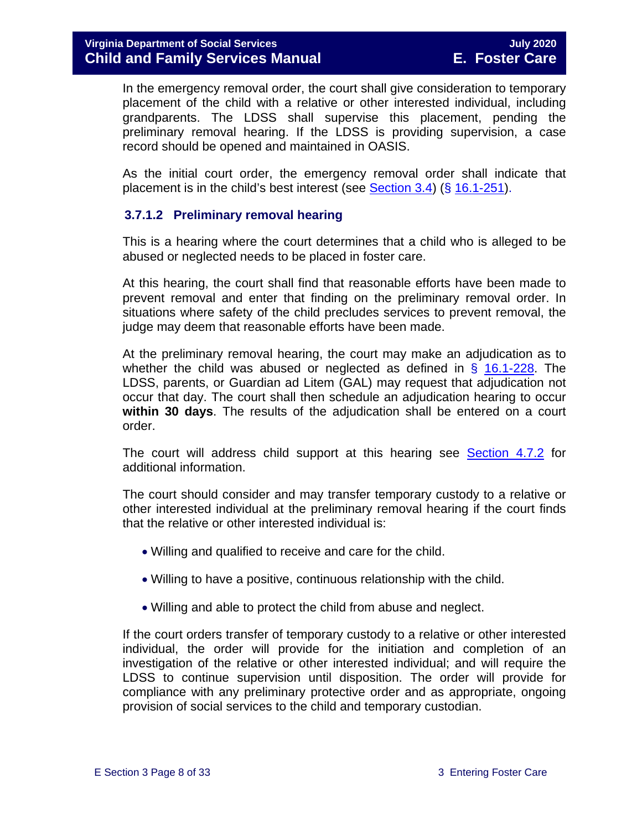In the emergency removal order, the court shall give consideration to temporary placement of the child with a relative or other interested individual, including grandparents. The LDSS shall supervise this placement, pending the preliminary removal hearing. If the LDSS is providing supervision, a case record should be opened and maintained in OASIS.

As the initial court order, the emergency removal order shall indicate that placement is in the child's best interest (see [Section 3.4\)](#page-3-0) ( $\S$  [16.1-251\)](https://law.lis.virginia.gov/vacode/16.1-251/).

#### **3.7.1.2 Preliminary removal hearing**

This is a hearing where the court determines that a child who is alleged to be abused or neglected needs to be placed in foster care.

At this hearing, the court shall find that reasonable efforts have been made to prevent removal and enter that finding on the preliminary removal order. In situations where safety of the child precludes services to prevent removal, the judge may deem that reasonable efforts have been made.

At the preliminary removal hearing, the court may make an adjudication as to whether the child was abused or neglected as defined in  $\S$  [16.1-228.](https://law.lis.virginia.gov/vacode/16.1-228/) The LDSS, parents, or Guardian ad Litem (GAL) may request that adjudication not occur that day. The court shall then schedule an adjudication hearing to occur **within 30 days**. The results of the adjudication shall be entered on a court order.

The court will address child support at this hearing see [Section](https://fusion.dss.virginia.gov/Portals/%5bdfs%5d/Files/DFS%20Manuals/Foster%20Care%20Manuals/Foster%20Care%20Manual%2007-2020/Final%20Foster%20Care%20Manual%2007-2020/section_4_opening_and_maintaining_case.pdf#page=13) 4.7.2 for additional information.

The court should consider and may transfer temporary custody to a relative or other interested individual at the preliminary removal hearing if the court finds that the relative or other interested individual is:

- Willing and qualified to receive and care for the child.
- Willing to have a positive, continuous relationship with the child.
- Willing and able to protect the child from abuse and neglect.

If the court orders transfer of temporary custody to a relative or other interested individual, the order will provide for the initiation and completion of an investigation of the relative or other interested individual; and will require the LDSS to continue supervision until disposition. The order will provide for compliance with any preliminary protective order and as appropriate, ongoing provision of social services to the child and temporary custodian.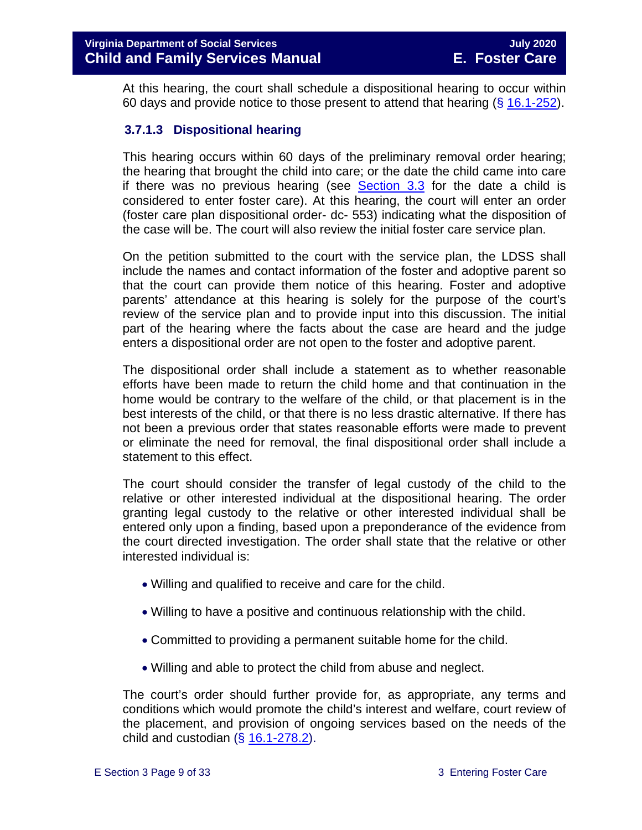At this hearing, the court shall schedule a dispositional hearing to occur within 60 days and provide notice to those present to attend that hearing  $(\S 16.1-252)$  $(\S 16.1-252)$ .

#### **3.7.1.3 Dispositional hearing**

This hearing occurs within 60 days of the preliminary removal order hearing; the hearing that brought the child into care; or the date the child came into care if there was no previous hearing (see [Section 3.3](#page-2-0) for the date a child is considered to enter foster care). At this hearing, the court will enter an order (foster care plan dispositional order- dc- 553) indicating what the disposition of the case will be. The court will also review the initial foster care service plan.

On the petition submitted to the court with the service plan, the LDSS shall include the names and contact information of the foster and adoptive parent so that the court can provide them notice of this hearing. Foster and adoptive parents' attendance at this hearing is solely for the purpose of the court's review of the service plan and to provide input into this discussion. The initial part of the hearing where the facts about the case are heard and the judge enters a dispositional order are not open to the foster and adoptive parent.

The dispositional order shall include a statement as to whether reasonable efforts have been made to return the child home and that continuation in the home would be contrary to the welfare of the child, or that placement is in the best interests of the child, or that there is no less drastic alternative. If there has not been a previous order that states reasonable efforts were made to prevent or eliminate the need for removal, the final dispositional order shall include a statement to this effect.

The court should consider the transfer of legal custody of the child to the relative or other interested individual at the dispositional hearing. The order granting legal custody to the relative or other interested individual shall be entered only upon a finding, based upon a preponderance of the evidence from the court directed investigation. The order shall state that the relative or other interested individual is:

- Willing and qualified to receive and care for the child.
- Willing to have a positive and continuous relationship with the child.
- Committed to providing a permanent suitable home for the child.
- Willing and able to protect the child from abuse and neglect.

The court's order should further provide for, as appropriate, any terms and conditions which would promote the child's interest and welfare, court review of the placement, and provision of ongoing services based on the needs of the child and custodian  $(\S 16.1-278.2)$  $(\S 16.1-278.2)$ .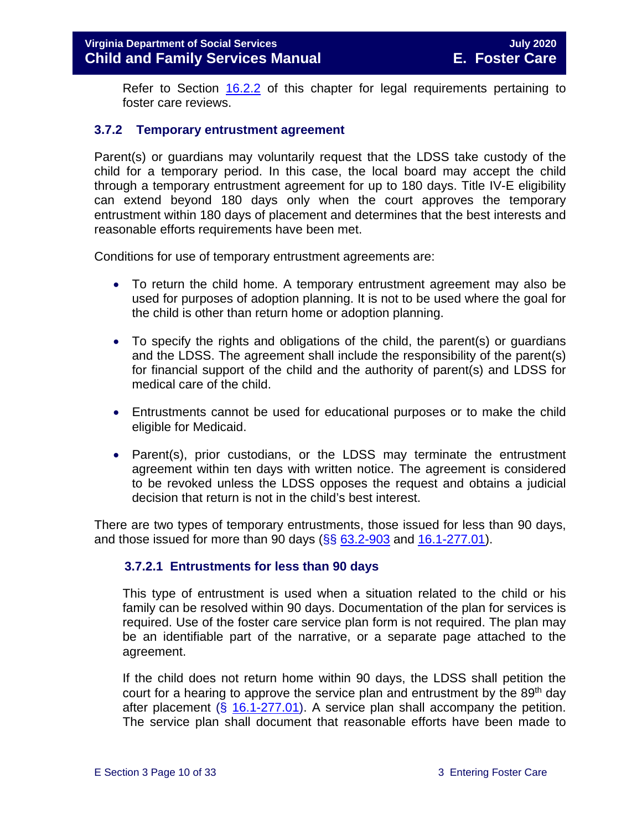Refer to Section [16.2.2](https://fusion.dss.virginia.gov/Portals/%5bdfs%5d/Files/DFS%20Manuals/Foster%20Care%20Manuals/Foster%20Care%20Manual%2007-2020/Final%20Foster%20Care%20Manual%2007-2020/section_16_judicial_hearings_and_mandated_foster_care_reviews.pdf#page=4) of this chapter for legal requirements pertaining to foster care reviews.

#### <span id="page-9-0"></span>**3.7.2 Temporary entrustment agreement**

Parent(s) or guardians may voluntarily request that the LDSS take custody of the child for a temporary period. In this case, the local board may accept the child through a temporary entrustment agreement for up to 180 days. Title IV-E eligibility can extend beyond 180 days only when the court approves the temporary entrustment within 180 days of placement and determines that the best interests and reasonable efforts requirements have been met.

Conditions for use of temporary entrustment agreements are:

- To return the child home. A temporary entrustment agreement may also be used for purposes of adoption planning. It is not to be used where the goal for the child is other than return home or adoption planning.
- To specify the rights and obligations of the child, the parent(s) or guardians and the LDSS. The agreement shall include the responsibility of the parent(s) for financial support of the child and the authority of parent(s) and LDSS for medical care of the child.
- Entrustments cannot be used for educational purposes or to make the child eligible for Medicaid.
- Parent(s), prior custodians, or the LDSS may terminate the entrustment agreement within ten days with written notice. The agreement is considered to be revoked unless the LDSS opposes the request and obtains a judicial decision that return is not in the child's best interest.

There are two types of temporary entrustments, those issued for less than 90 days, and those issued for more than 90 days ( $\S$ §  $63.2-903$  and  $16.1-277.01$ ).

#### **3.7.2.1 Entrustments for less than 90 days**

This type of entrustment is used when a situation related to the child or his family can be resolved within 90 days. Documentation of the plan for services is required. Use of the foster care service plan form is not required. The plan may be an identifiable part of the narrative, or a separate page attached to the agreement.

If the child does not return home within 90 days, the LDSS shall petition the court for a hearing to approve the service plan and entrustment by the 89<sup>th</sup> day after placement  $(\S 16.1-277.01)$  $(\S 16.1-277.01)$ . A service plan shall accompany the petition. The service plan shall document that reasonable efforts have been made to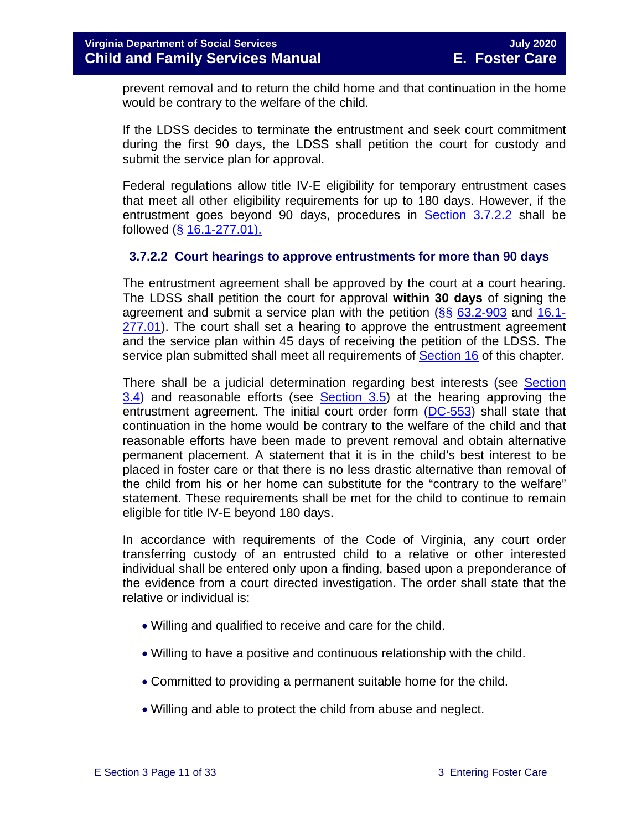prevent removal and to return the child home and that continuation in the home would be contrary to the welfare of the child.

If the LDSS decides to terminate the entrustment and seek court commitment during the first 90 days, the LDSS shall petition the court for custody and submit the service plan for approval.

Federal regulations allow title IV-E eligibility for temporary entrustment cases that meet all other eligibility requirements for up to 180 days. However, if the entrustment goes beyond 90 days, procedures in [Section 3.7.2.2](#page-10-0) shall be followed (§ [16.1-277.01\).](https://law.lis.virginia.gov/vacode/16.1-277.01/)

#### <span id="page-10-0"></span>**3.7.2.2 Court hearings to approve entrustments for more than 90 days**

The entrustment agreement shall be approved by the court at a court hearing. The LDSS shall petition the court for approval **within 30 days** of signing the agreement and submit a service plan with the petition (§§ [63.2-903](https://law.lis.virginia.gov/vacode/63.2-903/) and [16.1-](https://law.lis.virginia.gov/vacode/16.1-277.01/) [277.01\)](https://law.lis.virginia.gov/vacode/16.1-277.01/). The court shall set a hearing to approve the entrustment agreement and the service plan within 45 days of receiving the petition of the LDSS. The service plan submitted shall meet all requirements of [Section 16](https://fusion.dss.virginia.gov/Portals/%5bdfs%5d/Files/DFS%20Manuals/Foster%20Care%20Manuals/Foster%20Care%20Manual%2007-2020/Final%20Foster%20Care%20Manual%2007-2020/section_16_judicial_hearings_and_mandated_foster_care_reviews.pdf) of this chapter.

There shall be a judicial determination regarding best interests (see [Section](#page-3-0)  [3.4\)](#page-3-0) and reasonable efforts (see [Section 3.5\)](#page-3-1) at the hearing approving the entrustment agreement. The initial court order form [\(DC-553\)](https://fusion.dss.virginia.gov/Portals/%5Bdfs%5D/Files/DFS%20FORMS/Court%20Forms/DC-553%20Dispositional%20Order%20for%20Underlying%20Petition%20Foster%20Care%20Plan.pdf) shall state that continuation in the home would be contrary to the welfare of the child and that reasonable efforts have been made to prevent removal and obtain alternative permanent placement. A statement that it is in the child's best interest to be placed in foster care or that there is no less drastic alternative than removal of the child from his or her home can substitute for the "contrary to the welfare" statement. These requirements shall be met for the child to continue to remain eligible for title IV-E beyond 180 days.

In accordance with requirements of the Code of Virginia, any court order transferring custody of an entrusted child to a relative or other interested individual shall be entered only upon a finding, based upon a preponderance of the evidence from a court directed investigation. The order shall state that the relative or individual is:

- Willing and qualified to receive and care for the child.
- Willing to have a positive and continuous relationship with the child.
- Committed to providing a permanent suitable home for the child.
- Willing and able to protect the child from abuse and neglect.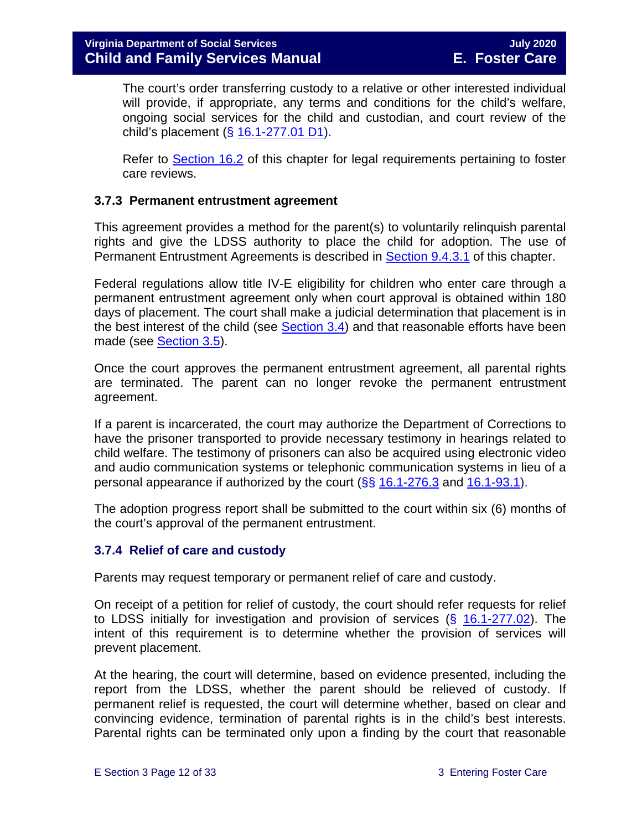The court's order transferring custody to a relative or other interested individual will provide, if appropriate, any terms and conditions for the child's welfare, ongoing social services for the child and custodian, and court review of the child's placement (§ [16.1-277.01 D1\)](https://law.lis.virginia.gov/vacode/16.1-277.01/).

Refer to [Section 16.2](https://fusion.dss.virginia.gov/Portals/%5bdfs%5d/Files/DFS%20Manuals/Foster%20Care%20Manuals/Foster%20Care%20Manual%2007-2020/Final%20Foster%20Care%20Manual%2007-2020/section_16_judicial_hearings_and_mandated_foster_care_reviews.pdf#page=3) of this chapter for legal requirements pertaining to foster care reviews.

#### <span id="page-11-0"></span>**3.7.3 Permanent entrustment agreement**

This agreement provides a method for the parent(s) to voluntarily relinquish parental rights and give the LDSS authority to place the child for adoption. The use of Permanent Entrustment Agreements is described in [Section](https://fusion.dss.virginia.gov/Portals/%5bdfs%5d/Files/DFS%20Manuals/Foster%20Care%20Manuals/Foster%20Care%20Manual%2007-2020/Final%20Foster%20Care%20Manual%2007-2020/section_9_achieving_permanency_goal_adoption.pdf#page=7) 9.4.3.1 of this chapter.

Federal regulations allow title IV-E eligibility for children who enter care through a permanent entrustment agreement only when court approval is obtained within 180 days of placement. The court shall make a judicial determination that placement is in the best interest of the child (see [Section 3.4\)](#page-3-0) and that reasonable efforts have been made (see **Section 3.5).** 

Once the court approves the permanent entrustment agreement, all parental rights are terminated. The parent can no longer revoke the permanent entrustment agreement.

If a parent is incarcerated, the court may authorize the Department of Corrections to have the prisoner transported to provide necessary testimony in hearings related to child welfare. The testimony of prisoners can also be acquired using electronic video and audio communication systems or telephonic communication systems in lieu of a personal appearance if authorized by the court  $(\S\S 16.1-276.3$  $(\S\S 16.1-276.3$  and  $16.1-93.1)$ .

The adoption progress report shall be submitted to the court within six (6) months of the court's approval of the permanent entrustment.

#### <span id="page-11-1"></span>**3.7.4 Relief of care and custody**

Parents may request temporary or permanent relief of care and custody.

On receipt of a petition for relief of custody, the court should refer requests for relief to LDSS initially for investigation and provision of services  $(\S$  [16.1-277.02\)](https://law.lis.virginia.gov/vacode/16.1-277.02/). The intent of this requirement is to determine whether the provision of services will prevent placement.

At the hearing, the court will determine, based on evidence presented, including the report from the LDSS, whether the parent should be relieved of custody. If permanent relief is requested, the court will determine whether, based on clear and convincing evidence, termination of parental rights is in the child's best interests. Parental rights can be terminated only upon a finding by the court that reasonable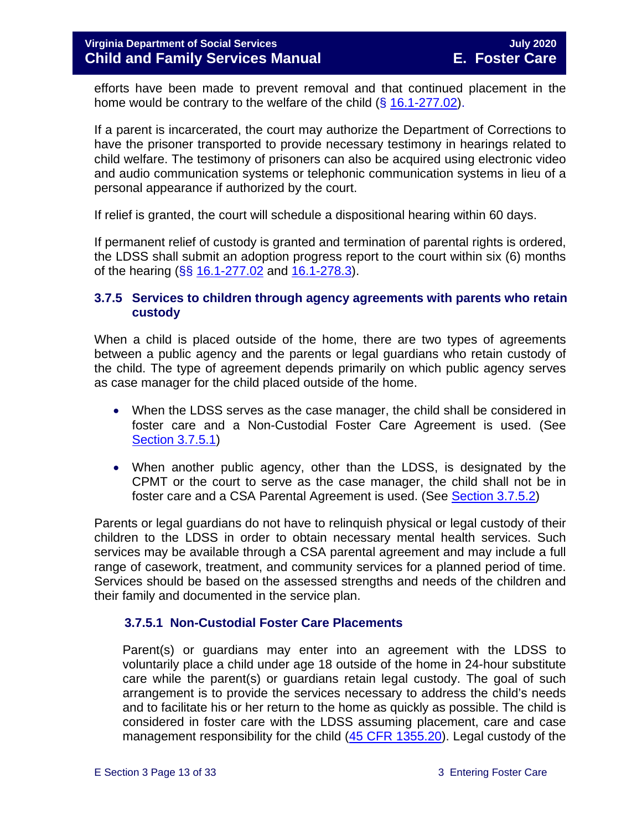efforts have been made to prevent removal and that continued placement in the home would be contrary to the welfare of the child  $(\S 16.1-277.02)$  $(\S 16.1-277.02)$ .

If a parent is incarcerated, the court may authorize the Department of Corrections to have the prisoner transported to provide necessary testimony in hearings related to child welfare. The testimony of prisoners can also be acquired using electronic video and audio communication systems or telephonic communication systems in lieu of a personal appearance if authorized by the court.

If relief is granted, the court will schedule a dispositional hearing within 60 days.

If permanent relief of custody is granted and termination of parental rights is ordered, the LDSS shall submit an adoption progress report to the court within six (6) months of the hearing (§§ [16.1-277.02](https://law.lis.virginia.gov/vacode/16.1-277.02/) and [16.1-278.3\)](https://law.lis.virginia.gov/vacode/16.1-278.3/).

#### <span id="page-12-0"></span>**3.7.5 Services to children through agency agreements with parents who retain custody**

When a child is placed outside of the home, there are two types of agreements between a public agency and the parents or legal guardians who retain custody of the child. The type of agreement depends primarily on which public agency serves as case manager for the child placed outside of the home.

- When the LDSS serves as the case manager, the child shall be considered in foster care and a Non-Custodial Foster Care Agreement is used. (See [Section 3.7.5.1\)](#page-13-0)
- When another public agency, other than the LDSS, is designated by the CPMT or the court to serve as the case manager, the child shall not be in foster care and a CSA Parental Agreement is used. (See [Section 3.7.5.2\)](#page-16-0)

Parents or legal guardians do not have to relinquish physical or legal custody of their children to the LDSS in order to obtain necessary mental health services. Such services may be available through a CSA parental agreement and may include a full range of casework, treatment, and community services for a planned period of time. Services should be based on the assessed strengths and needs of the children and their family and documented in the service plan.

#### **3.7.5.1 Non-Custodial Foster Care Placements**

Parent(s) or guardians may enter into an agreement with the LDSS to voluntarily place a child under age 18 outside of the home in 24-hour substitute care while the parent(s) or guardians retain legal custody. The goal of such arrangement is to provide the services necessary to address the child's needs and to facilitate his or her return to the home as quickly as possible. The child is considered in foster care with the LDSS assuming placement, care and case management responsibility for the child [\(45 CFR 1355.20\)](http://edocket.access.gpo.gov/cfr_2002/octqtr/45cfr1355.20.htm). Legal custody of the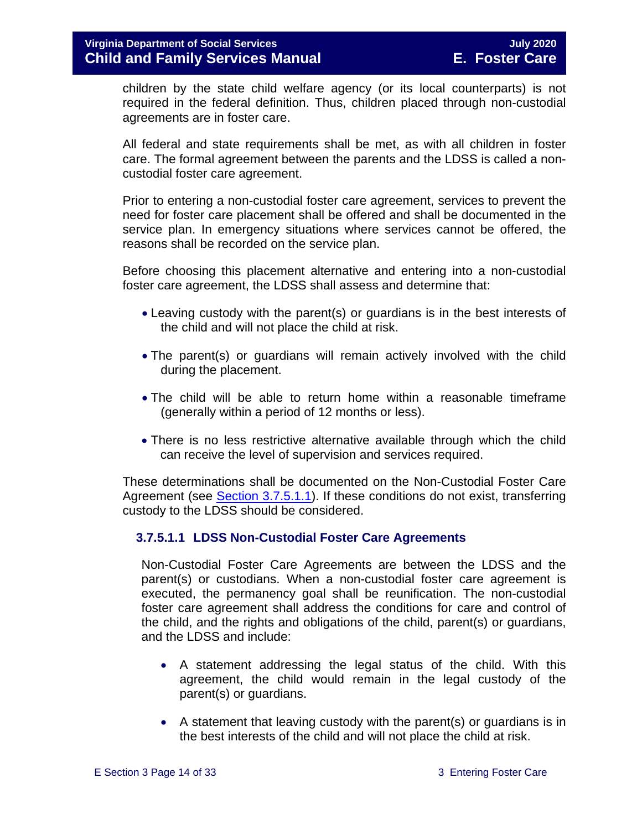children by the state child welfare agency (or its local counterparts) is not required in the federal definition. Thus, children placed through non-custodial agreements are in foster care.

All federal and state requirements shall be met, as with all children in foster care. The formal agreement between the parents and the LDSS is called a noncustodial foster care agreement.

Prior to entering a non-custodial foster care agreement, services to prevent the need for foster care placement shall be offered and shall be documented in the service plan. In emergency situations where services cannot be offered, the reasons shall be recorded on the service plan.

Before choosing this placement alternative and entering into a non-custodial foster care agreement, the LDSS shall assess and determine that:

- Leaving custody with the parent(s) or guardians is in the best interests of the child and will not place the child at risk.
- The parent(s) or guardians will remain actively involved with the child during the placement.
- The child will be able to return home within a reasonable timeframe (generally within a period of 12 months or less).
- There is no less restrictive alternative available through which the child can receive the level of supervision and services required.

These determinations shall be documented on the Non-Custodial Foster Care Agreement (see [Section 3.7.5.1.1\)](#page-13-0). If these conditions do not exist, transferring custody to the LDSS should be considered.

#### <span id="page-13-0"></span>**3.7.5.1.1 LDSS Non-Custodial Foster Care Agreements**

Non-Custodial Foster Care Agreements are between the LDSS and the parent(s) or custodians. When a non-custodial foster care agreement is executed, the permanency goal shall be reunification. The non-custodial foster care agreement shall address the conditions for care and control of the child, and the rights and obligations of the child, parent(s) or guardians, and the LDSS and include:

- A statement addressing the legal status of the child. With this agreement, the child would remain in the legal custody of the parent(s) or guardians.
- A statement that leaving custody with the parent(s) or guardians is in the best interests of the child and will not place the child at risk.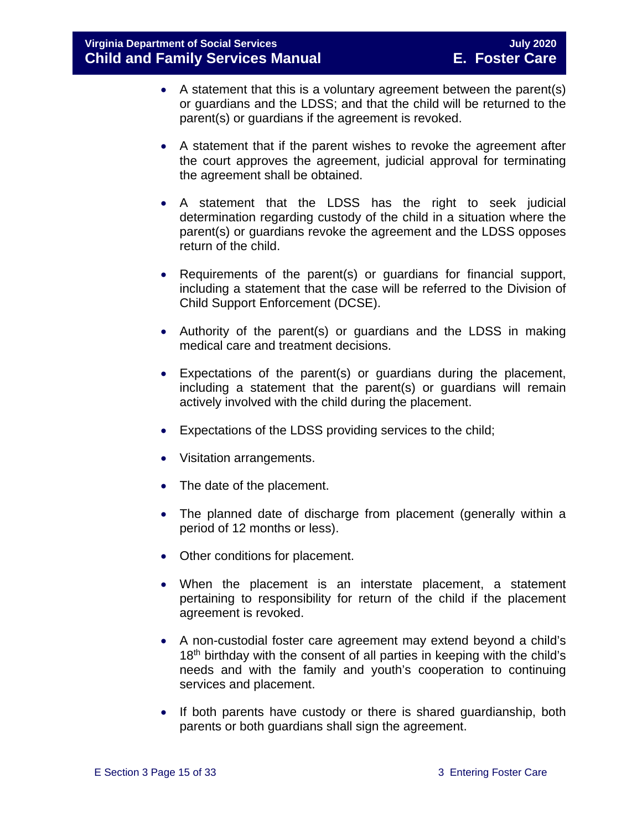- A statement that this is a voluntary agreement between the parent(s) or guardians and the LDSS; and that the child will be returned to the parent(s) or guardians if the agreement is revoked.
- A statement that if the parent wishes to revoke the agreement after the court approves the agreement, judicial approval for terminating the agreement shall be obtained.
- A statement that the LDSS has the right to seek judicial determination regarding custody of the child in a situation where the parent(s) or guardians revoke the agreement and the LDSS opposes return of the child.
- Requirements of the parent(s) or guardians for financial support, including a statement that the case will be referred to the Division of Child Support Enforcement (DCSE).
- Authority of the parent(s) or guardians and the LDSS in making medical care and treatment decisions.
- Expectations of the parent(s) or guardians during the placement, including a statement that the parent(s) or guardians will remain actively involved with the child during the placement.
- Expectations of the LDSS providing services to the child;
- Visitation arrangements.
- The date of the placement.
- The planned date of discharge from placement (generally within a period of 12 months or less).
- Other conditions for placement.
- When the placement is an interstate placement, a statement pertaining to responsibility for return of the child if the placement agreement is revoked.
- A non-custodial foster care agreement may extend beyond a child's 18<sup>th</sup> birthday with the consent of all parties in keeping with the child's needs and with the family and youth's cooperation to continuing services and placement.
- If both parents have custody or there is shared guardianship, both parents or both guardians shall sign the agreement.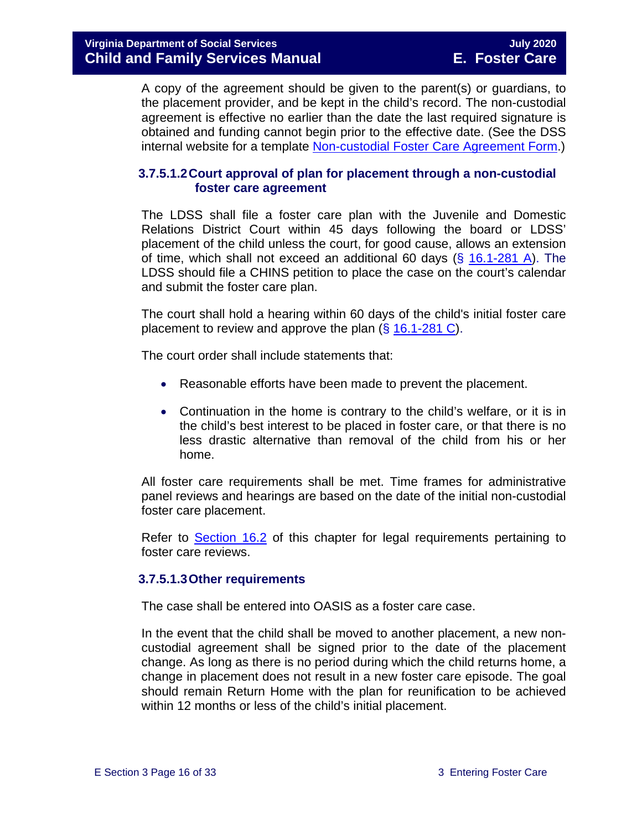A copy of the agreement should be given to the parent(s) or guardians, to the placement provider, and be kept in the child's record. The non-custodial agreement is effective no earlier than the date the last required signature is obtained and funding cannot begin prior to the effective date. (See the DSS internal website for a template [Non-custodial Foster Care Agreement Form.](https://fusion.dss.virginia.gov/dfs/DFS-Home/Foster-Care/Foster-Care-Forms))

#### **3.7.5.1.2Court approval of plan for placement through a non-custodial foster care agreement**

The LDSS shall file a foster care plan with the Juvenile and Domestic Relations District Court within 45 days following the board or LDSS' placement of the child unless the court, for good cause, allows an extension of time, which shall not exceed an additional 60 days  $(\frac{2}{3} 16.1 - 281 A)$ . The LDSS should file a CHINS petition to place the case on the court's calendar and submit the foster care plan.

The court shall hold a hearing within 60 days of the child's initial foster care placement to review and approve the plan (§ [16.1-281 C\)](https://law.lis.virginia.gov/vacode/16.1-281/).

The court order shall include statements that:

- Reasonable efforts have been made to prevent the placement.
- Continuation in the home is contrary to the child's welfare, or it is in the child's best interest to be placed in foster care, or that there is no less drastic alternative than removal of the child from his or her home.

All foster care requirements shall be met. Time frames for administrative panel reviews and hearings are based on the date of the initial non-custodial foster care placement.

Refer to [Section 16.2](https://fusion.dss.virginia.gov/Portals/%5bdfs%5d/Files/DFS%20Manuals/Foster%20Care%20Manuals/Foster%20Care%20Manual%2007-2020/Final%20Foster%20Care%20Manual%2007-2020/section_16_judicial_hearings_and_mandated_foster_care_reviews.pdf#page=3) of this chapter for legal requirements pertaining to foster care reviews.

#### **3.7.5.1.3Other requirements**

The case shall be entered into OASIS as a foster care case.

In the event that the child shall be moved to another placement, a new noncustodial agreement shall be signed prior to the date of the placement change. As long as there is no period during which the child returns home, a change in placement does not result in a new foster care episode. The goal should remain Return Home with the plan for reunification to be achieved within 12 months or less of the child's initial placement.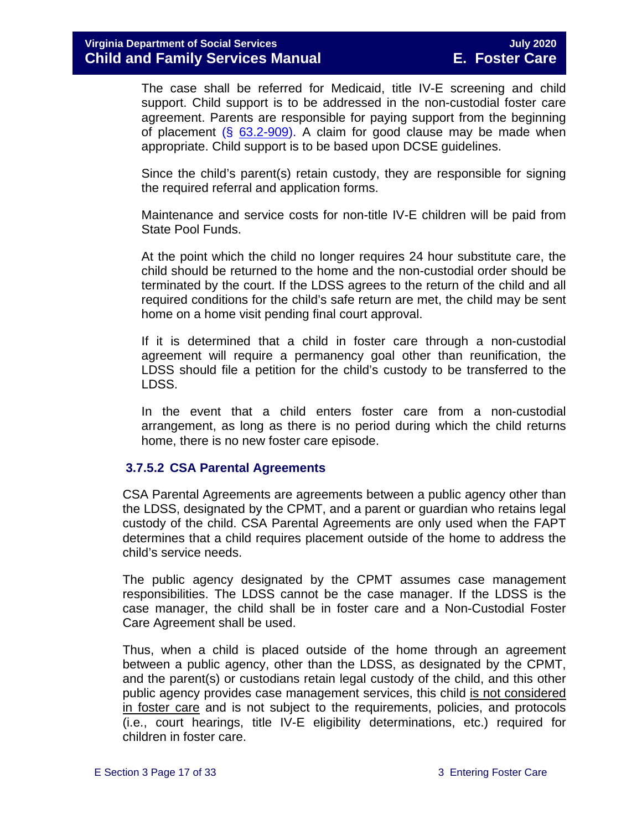The case shall be referred for Medicaid, title IV-E screening and child support. Child support is to be addressed in the non-custodial foster care agreement. Parents are responsible for paying support from the beginning of placement  $(\S$  [63.2-909\)](https://law.lis.virginia.gov/vacode/63.2-909/). A claim for good clause may be made when appropriate. Child support is to be based upon DCSE guidelines.

Since the child's parent(s) retain custody, they are responsible for signing the required referral and application forms.

Maintenance and service costs for non-title IV-E children will be paid from State Pool Funds.

At the point which the child no longer requires 24 hour substitute care, the child should be returned to the home and the non-custodial order should be terminated by the court. If the LDSS agrees to the return of the child and all required conditions for the child's safe return are met, the child may be sent home on a home visit pending final court approval.

If it is determined that a child in foster care through a non-custodial agreement will require a permanency goal other than reunification, the LDSS should file a petition for the child's custody to be transferred to the LDSS.

In the event that a child enters foster care from a non-custodial arrangement, as long as there is no period during which the child returns home, there is no new foster care episode.

#### <span id="page-16-0"></span>**3.7.5.2 CSA Parental Agreements**

CSA Parental Agreements are agreements between a public agency other than the LDSS, designated by the CPMT, and a parent or guardian who retains legal custody of the child. CSA Parental Agreements are only used when the FAPT determines that a child requires placement outside of the home to address the child's service needs.

The public agency designated by the CPMT assumes case management responsibilities. The LDSS cannot be the case manager. If the LDSS is the case manager, the child shall be in foster care and a Non-Custodial Foster Care Agreement shall be used.

Thus, when a child is placed outside of the home through an agreement between a public agency, other than the LDSS, as designated by the CPMT, and the parent(s) or custodians retain legal custody of the child, and this other public agency provides case management services, this child is not considered in foster care and is not subject to the requirements, policies, and protocols (i.e., court hearings, title IV-E eligibility determinations, etc.) required for children in foster care.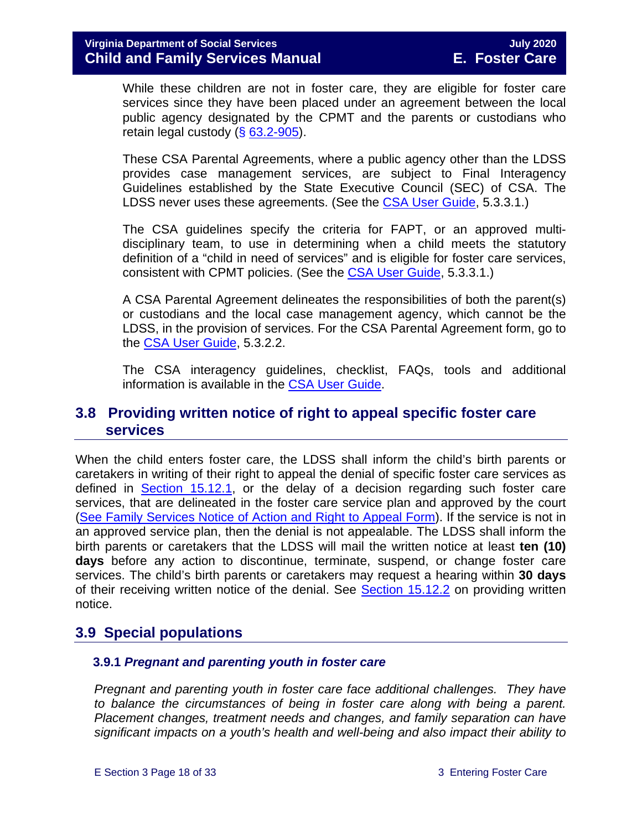While these children are not in foster care, they are eligible for foster care services since they have been placed under an agreement between the local public agency designated by the CPMT and the parents or custodians who retain legal custody (§ [63.2-905\)](https://law.lis.virginia.gov/vacode/63.2-905/).

These CSA Parental Agreements, where a public agency other than the LDSS provides case management services, are subject to Final Interagency Guidelines established by the State Executive Council (SEC) of CSA. The LDSS never uses these agreements. (See the [CSA User Guide,](https://www.csa.virginia.gov/content/doc/CSA_User_Guide_2018_Update.pdf) 5.3.3.1.)

The CSA guidelines specify the criteria for FAPT, or an approved multidisciplinary team, to use in determining when a child meets the statutory definition of a "child in need of services" and is eligible for foster care services, consistent with CPMT policies. (See the [CSA User Guide,](https://www.csa.virginia.gov/content/doc/CSA_User_Guide_2018_Update.pdf) 5.3.3.1.)

A CSA Parental Agreement delineates the responsibilities of both the parent(s) or custodians and the local case management agency, which cannot be the LDSS, in the provision of services. For the CSA Parental Agreement form, go to the [CSA User Guide,](https://www.csa.virginia.gov/content/doc/CSA_User_Guide_2018_Update.pdf) 5.3.2.2.

The CSA interagency guidelines, checklist, FAQs, tools and additional information is available in the [CSA User Guide.](https://www.csa.virginia.gov/content/doc/CSA_User_Guide_2018_Update.pdf)

# <span id="page-17-0"></span>**3.8 Providing written notice of right to appeal specific foster care services**

When the child enters foster care, the LDSS shall inform the child's birth parents or caretakers in writing of their right to appeal the denial of specific foster care services as defined in [Section 15.12.1,](https://fusion.dss.virginia.gov/Portals/%5bdfs%5d/Files/DFS%20Manuals/Foster%20Care%20Manuals/Foster%20Care%20Manual%2007-2020/Final%20Foster%20Care%20Manual%2007-2020/section_15_developing_service_plan.pdf#page=17) or the delay of a decision regarding such foster care services, that are delineated in the foster care service plan and approved by the court [\(See Family Services Notice of Action and Right to Appeal Form\)](https://fusion.dss.virginia.gov/Portals/%5Bdfs%5D/Files/DFS%20FORMS/Family%20Services-Generic%20Forms/Family%20Services%20Notice%20of%20Action%20and%20Right%20to%20Appeal.pdf). If the service is not in an approved service plan, then the denial is not appealable. The LDSS shall inform the birth parents or caretakers that the LDSS will mail the written notice at least **ten (10) days** before any action to discontinue, terminate, suspend, or change foster care services. The child's birth parents or caretakers may request a hearing within **30 days** of their receiving written notice of the denial. See [Section 15.12.2](https://fusion.dss.virginia.gov/Portals/%5bdfs%5d/Files/DFS%20Manuals/Foster%20Care%20Manuals/Foster%20Care%20Manual%2007-2020/Final%20Foster%20Care%20Manual%2007-2020/section_15_developing_service_plan.pdf#page=18) on providing written notice.

# <span id="page-17-1"></span>**3.9 Special populations**

#### <span id="page-17-2"></span> **3.9.1** *Pregnant and parenting youth in foster care*

*Pregnant and parenting youth in foster care face additional challenges. They have to balance the circumstances of being in foster care along with being a parent. Placement changes, treatment needs and changes, and family separation can have significant impacts on a youth's health and well-being and also impact their ability to*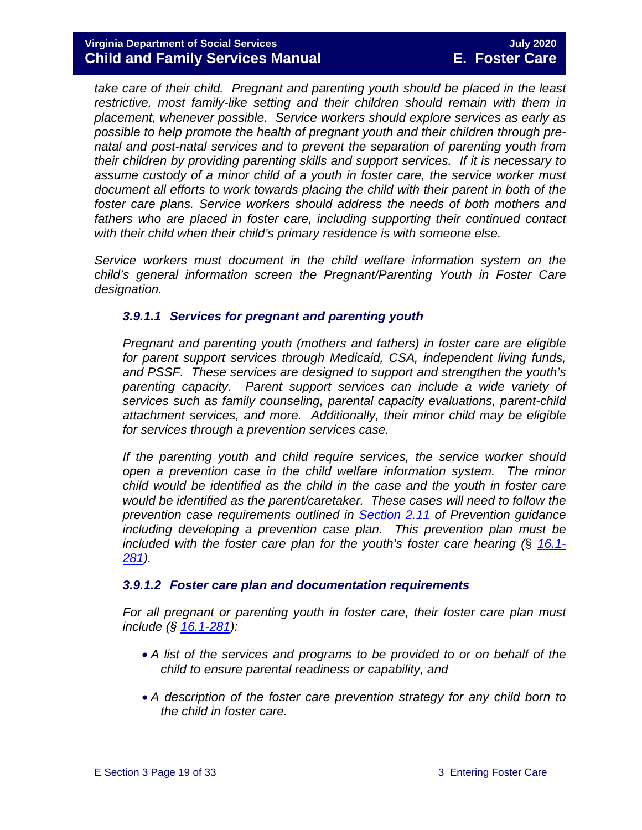#### **Virginia Department of Social Services July 2020 Child and Family Services Manual E. Foster Care**

*take care of their child. Pregnant and parenting youth should be placed in the least restrictive, most family-like setting and their children should remain with them in placement, whenever possible. Service workers should explore services as early as possible to help promote the health of pregnant youth and their children through prenatal and post-natal services and to prevent the separation of parenting youth from their children by providing parenting skills and support services. If it is necessary to assume custody of a minor child of a youth in foster care, the service worker must document all efforts to work towards placing the child with their parent in both of the foster care plans. Service workers should address the needs of both mothers and fathers who are placed in foster care, including supporting their continued contact with their child when their child's primary residence is with someone else.*

*Service workers must document in the child welfare information system on the child's general information screen the Pregnant/Parenting Youth in Foster Care designation.*

#### *3.9.1.1 Services for pregnant and parenting youth*

*Pregnant and parenting youth (mothers and fathers) in foster care are eligible for parent support services through Medicaid, CSA, independent living funds, and PSSF. These services are designed to support and strengthen the youth's parenting capacity. Parent support services can include a wide variety of services such as family counseling, parental capacity evaluations, parent-child attachment services, and more. Additionally, their minor child may be eligible for services through a prevention services case.* 

*If the parenting youth and child require services, the service worker should open a prevention case in the child welfare information system. The minor child would be identified as the child in the case and the youth in foster care would be identified as the parent/caretaker. These cases will need to follow the prevention case requirements outlined in [Section 2.11](https://fusion.dss.virginia.gov/dfs/DFS-Home/Prevention-Services/Prevention-Services-Guidance) of Prevention guidance including developing a prevention case plan. This prevention plan must be included with the foster care plan for the youth's foster care hearing (*§ *[16.1-](https://law.lis.virginia.gov/vacode/title16.1/chapter11/section16.1-281/) [281\)](https://law.lis.virginia.gov/vacode/title16.1/chapter11/section16.1-281/).* 

#### *3.9.1.2 Foster care plan and documentation requirements*

*For all pregnant or parenting youth in foster care, their foster care plan must include (§ [16.1-281\)](https://law.lis.virginia.gov/vacode/title16.1/chapter11/section16.1-281/):*

- *A list of the services and programs to be provided to or on behalf of the child to ensure parental readiness or capability, and*
- *A description of the foster care prevention strategy for any child born to the child in foster care.*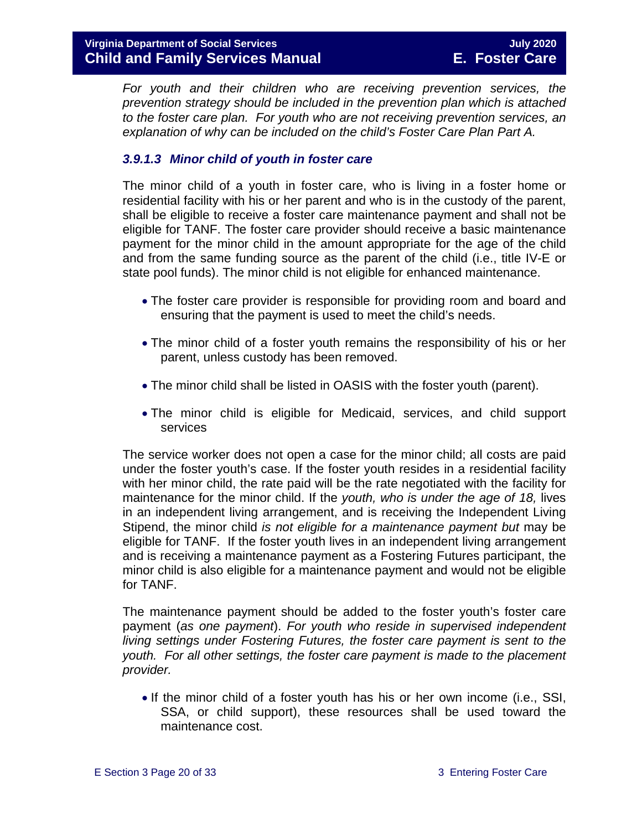*For youth and their children who are receiving prevention services, the prevention strategy should be included in the prevention plan which is attached to the foster care plan. For youth who are not receiving prevention services, an explanation of why can be included on the child's Foster Care Plan Part A.* 

#### *3.9.1.3 Minor child of youth in foster care*

The minor child of a youth in foster care, who is living in a foster home or residential facility with his or her parent and who is in the custody of the parent, shall be eligible to receive a foster care maintenance payment and shall not be eligible for TANF. The foster care provider should receive a basic maintenance payment for the minor child in the amount appropriate for the age of the child and from the same funding source as the parent of the child (i.e., title IV-E or state pool funds). The minor child is not eligible for enhanced maintenance.

- The foster care provider is responsible for providing room and board and ensuring that the payment is used to meet the child's needs.
- The minor child of a foster youth remains the responsibility of his or her parent, unless custody has been removed.
- The minor child shall be listed in OASIS with the foster youth (parent).
- The minor child is eligible for Medicaid, services, and child support services

The service worker does not open a case for the minor child; all costs are paid under the foster youth's case. If the foster youth resides in a residential facility with her minor child, the rate paid will be the rate negotiated with the facility for maintenance for the minor child. If the *youth, who is under the age of 18,* lives in an independent living arrangement, and is receiving the Independent Living Stipend, the minor child *is not eligible for a maintenance payment but* may be eligible for TANF. If the foster youth lives in an independent living arrangement and is receiving a maintenance payment as a Fostering Futures participant, the minor child is also eligible for a maintenance payment and would not be eligible for TANF.

The maintenance payment should be added to the foster youth's foster care payment (*as one payment*). *For youth who reside in supervised independent living settings under Fostering Futures, the foster care payment is sent to the youth. For all other settings, the foster care payment is made to the placement provider.*

• If the minor child of a foster youth has his or her own income (i.e., SSI, SSA, or child support), these resources shall be used toward the maintenance cost.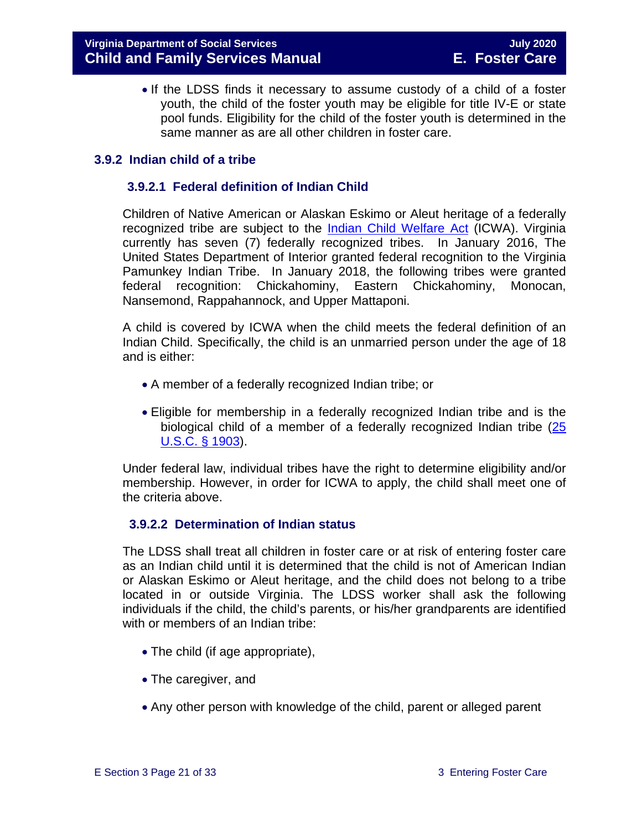• If the LDSS finds it necessary to assume custody of a child of a foster youth, the child of the foster youth may be eligible for title IV-E or state pool funds. Eligibility for the child of the foster youth is determined in the same manner as are all other children in foster care.

#### <span id="page-20-0"></span>**3.9.2 Indian child of a tribe**

#### **3.9.2.1 Federal definition of Indian Child**

Children of Native American or Alaskan Eskimo or Aleut heritage of a federally recognized tribe are subject to the [Indian Child Welfare Act](http://www.gpo.gov/fdsys/pkg/USCODE-2010-title25/pdf/USCODE-2010-title25-chap21.pdf) (ICWA). Virginia currently has seven (7) federally recognized tribes. In January 2016, The United States Department of Interior granted federal recognition to the Virginia Pamunkey Indian Tribe. In January 2018, the following tribes were granted federal recognition: Chickahominy, Eastern Chickahominy, Monocan, Nansemond, Rappahannock, and Upper Mattaponi.

A child is covered by ICWA when the child meets the federal definition of an Indian Child. Specifically, the child is an unmarried person under the age of 18 and is either:

- A member of a federally recognized Indian tribe; or
- Eligible for membership in a federally recognized Indian tribe and is the biological child of a member of a federally recognized Indian tribe [\(25](http://www.gpo.gov/fdsys/pkg/USCODE-2011-title25/pdf/USCODE-2011-title25-chap21.pdf)  [U.S.C. § 1903\)](http://www.gpo.gov/fdsys/pkg/USCODE-2011-title25/pdf/USCODE-2011-title25-chap21.pdf).

Under federal law, individual tribes have the right to determine eligibility and/or membership. However, in order for ICWA to apply, the child shall meet one of the criteria above.

#### **3.9.2.2 Determination of Indian status**

The LDSS shall treat all children in foster care or at risk of entering foster care as an Indian child until it is determined that the child is not of American Indian or Alaskan Eskimo or Aleut heritage, and the child does not belong to a tribe located in or outside Virginia. The LDSS worker shall ask the following individuals if the child, the child's parents, or his/her grandparents are identified with or members of an Indian tribe:

- The child (if age appropriate),
- The caregiver, and
- Any other person with knowledge of the child, parent or alleged parent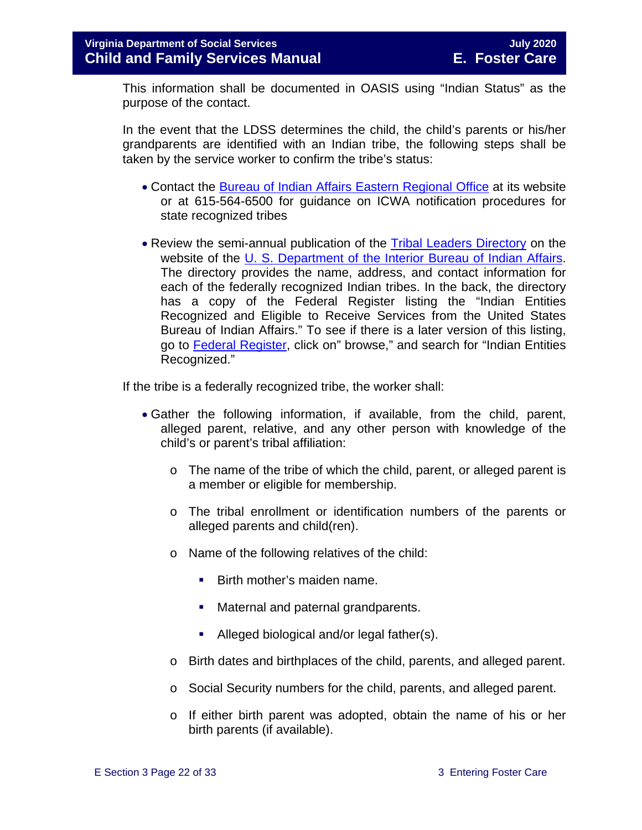This information shall be documented in OASIS using "Indian Status" as the purpose of the contact.

In the event that the LDSS determines the child, the child's parents or his/her grandparents are identified with an Indian tribe, the following steps shall be taken by the service worker to confirm the tribe's status:

- Contact the [Bureau of Indian Affairs Eastern Regional Office](http://www.bia.gov/WhoWeAre/RegionalOffices/Eastern/index.htm) at its website or at 615-564-6500 for guidance on ICWA notification procedures for state recognized tribes
- Review the semi-annual publication of the [Tribal Leaders Directory](http://www.bia.gov/WhoWeAre/BIA/OIS/TribalGovernmentServices/TribalDirectory/index.htm) on the website of the [U. S. Department of the Interior Bureau of Indian Affairs.](http://www.bia.gov/) The directory provides the name, address, and contact information for each of the federally recognized Indian tribes. In the back, the directory has a copy of the Federal Register listing the "Indian Entities Recognized and Eligible to Receive Services from the United States Bureau of Indian Affairs." To see if there is a later version of this listing, go to [Federal Register,](https://www.federalregister.gov/) click on" browse," and search for "Indian Entities Recognized."

If the tribe is a federally recognized tribe, the worker shall:

- Gather the following information, if available, from the child, parent, alleged parent, relative, and any other person with knowledge of the child's or parent's tribal affiliation:
	- $\circ$  The name of the tribe of which the child, parent, or alleged parent is a member or eligible for membership.
	- o The tribal enrollment or identification numbers of the parents or alleged parents and child(ren).
	- o Name of the following relatives of the child:
		- **Birth mother's maiden name.**
		- **Maternal and paternal grandparents.**
		- Alleged biological and/or legal father(s).
	- o Birth dates and birthplaces of the child, parents, and alleged parent.
	- o Social Security numbers for the child, parents, and alleged parent.
	- o If either birth parent was adopted, obtain the name of his or her birth parents (if available).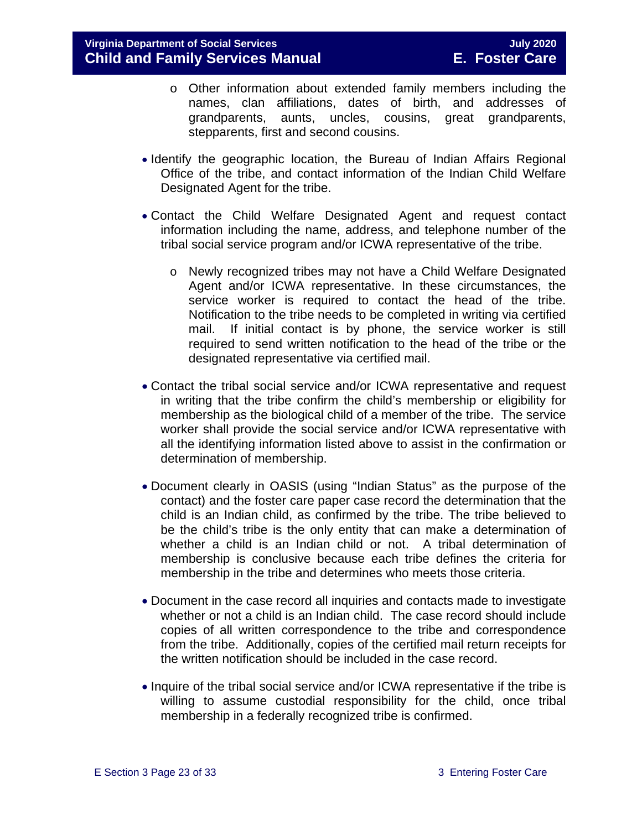- o Other information about extended family members including the names, clan affiliations, dates of birth, and addresses of grandparents, aunts, uncles, cousins, great grandparents, stepparents, first and second cousins.
- Identify the geographic location, the Bureau of Indian Affairs Regional Office of the tribe, and contact information of the Indian Child Welfare Designated Agent for the tribe.
- Contact the Child Welfare Designated Agent and request contact information including the name, address, and telephone number of the tribal social service program and/or ICWA representative of the tribe.
	- o Newly recognized tribes may not have a Child Welfare Designated Agent and/or ICWA representative. In these circumstances, the service worker is required to contact the head of the tribe. Notification to the tribe needs to be completed in writing via certified mail. If initial contact is by phone, the service worker is still required to send written notification to the head of the tribe or the designated representative via certified mail.
- Contact the tribal social service and/or ICWA representative and request in writing that the tribe confirm the child's membership or eligibility for membership as the biological child of a member of the tribe. The service worker shall provide the social service and/or ICWA representative with all the identifying information listed above to assist in the confirmation or determination of membership.
- Document clearly in OASIS (using "Indian Status" as the purpose of the contact) and the foster care paper case record the determination that the child is an Indian child, as confirmed by the tribe. The tribe believed to be the child's tribe is the only entity that can make a determination of whether a child is an Indian child or not. A tribal determination of membership is conclusive because each tribe defines the criteria for membership in the tribe and determines who meets those criteria.
- Document in the case record all inquiries and contacts made to investigate whether or not a child is an Indian child. The case record should include copies of all written correspondence to the tribe and correspondence from the tribe. Additionally, copies of the certified mail return receipts for the written notification should be included in the case record.
- Inquire of the tribal social service and/or ICWA representative if the tribe is willing to assume custodial responsibility for the child, once tribal membership in a federally recognized tribe is confirmed.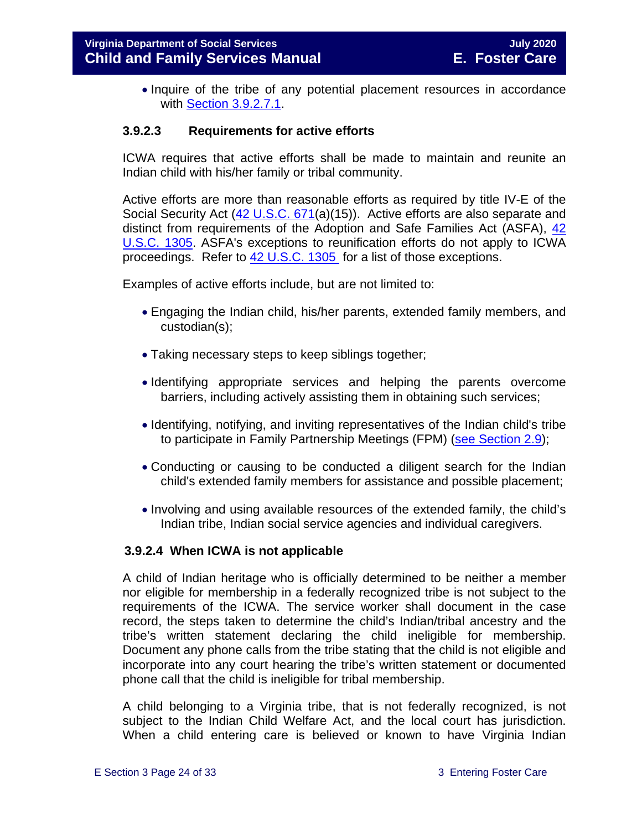• Inquire of the tribe of any potential placement resources in accordance with [Section 3.9.2.7.1.](#page-28-0)

#### **3.9.2.3 Requirements for active efforts**

ICWA requires that active efforts shall be made to maintain and reunite an Indian child with his/her family or tribal community.

Active efforts are more than reasonable efforts as required by title IV-E of the Social Security Act [\(42 U.S.C. 671\(](http://api.fdsys.gov/link?collection=uscode&title=42&year=mostrecent§ion=671&type=usc&link-type=html)a)(15)). Active efforts are also separate and distinct from requirements of the Adoption and Safe Families Act (ASFA), [42](http://api.fdsys.gov/link?collection=uscode&title=42&year=mostrecent§ion=1305&type=usc&link-type=html)  [U.S.C. 1305.](http://api.fdsys.gov/link?collection=uscode&title=42&year=mostrecent§ion=1305&type=usc&link-type=html) ASFA's exceptions to reunification efforts do not apply to ICWA proceedings. Refer to [42 U.S.C. 1305](http://api.fdsys.gov/link?collection=uscode&title=42&year=mostrecent§ion=1305&type=usc&link-type=html) for a list of those exceptions.

Examples of active efforts include, but are not limited to:

- Engaging the Indian child, his/her parents, extended family members, and custodian(s);
- Taking necessary steps to keep siblings together;
- Identifying appropriate services and helping the parents overcome barriers, including actively assisting them in obtaining such services;
- Identifying, notifying, and inviting representatives of the Indian child's tribe to participate in Family Partnership Meetings (FPM) [\(see Section 2.9\)](https://fusion.dss.virginia.gov/Portals/%5bdfs%5d/Files/DFS%20Manuals/Foster%20Care%20Manuals/Foster%20Care%20Manual%2007-2020/Final%20Foster%20Care%20Manual%2007-2020/section_2_engaging_the_child_family_and_significant_adults.pdf#page=19);
- Conducting or causing to be conducted a diligent search for the Indian child's extended family members for assistance and possible placement;
- Involving and using available resources of the extended family, the child's Indian tribe, Indian social service agencies and individual caregivers.

#### **3.9.2.4 When ICWA is not applicable**

A child of Indian heritage who is officially determined to be neither a member nor eligible for membership in a federally recognized tribe is not subject to the requirements of the ICWA. The service worker shall document in the case record, the steps taken to determine the child's Indian/tribal ancestry and the tribe's written statement declaring the child ineligible for membership. Document any phone calls from the tribe stating that the child is not eligible and incorporate into any court hearing the tribe's written statement or documented phone call that the child is ineligible for tribal membership.

A child belonging to a Virginia tribe, that is not federally recognized, is not subject to the Indian Child Welfare Act, and the local court has jurisdiction. When a child entering care is believed or known to have Virginia Indian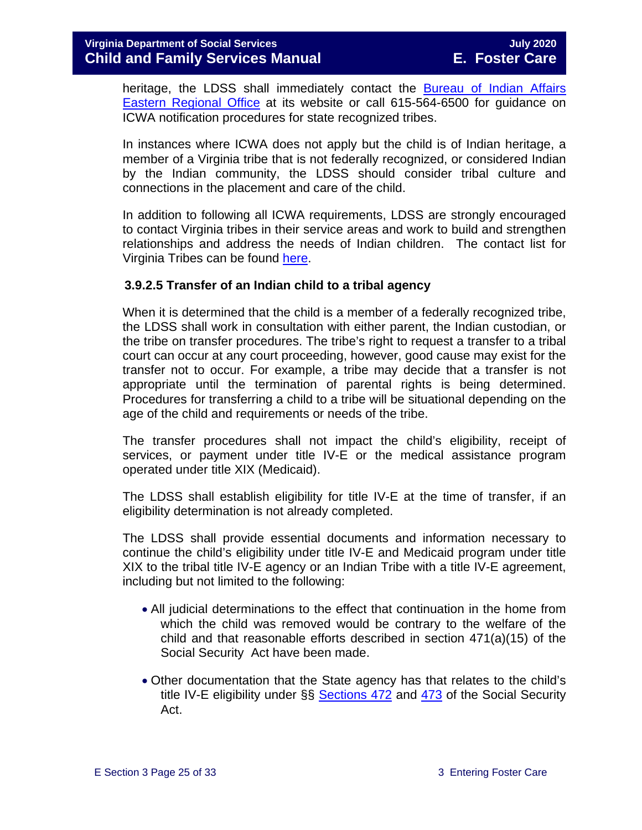heritage, the LDSS shall immediately contact the Bureau of Indian Affairs [Eastern Regional Office](http://www.bia.gov/WhoWeAre/RegionalOffices/Eastern/index.htm) at its website or call 615-564-6500 for guidance on ICWA notification procedures for state recognized tribes.

In instances where ICWA does not apply but the child is of Indian heritage, a member of a Virginia tribe that is not federally recognized, or considered Indian by the Indian community, the LDSS should consider tribal culture and connections in the placement and care of the child.

In addition to following all ICWA requirements, LDSS are strongly encouraged to contact Virginia tribes in their service areas and work to build and strengthen relationships and address the needs of Indian children. The contact list for Virginia Tribes can be found [here.](https://www.commonwealth.virginia.gov/virginia-indians/state-recognized-tribes/)

#### **3.9.2.5 Transfer of an Indian child to a tribal agency**

When it is determined that the child is a member of a federally recognized tribe. the LDSS shall work in consultation with either parent, the Indian custodian, or the tribe on transfer procedures. The tribe's right to request a transfer to a tribal court can occur at any court proceeding, however, good cause may exist for the transfer not to occur. For example, a tribe may decide that a transfer is not appropriate until the termination of parental rights is being determined. Procedures for transferring a child to a tribe will be situational depending on the age of the child and requirements or needs of the tribe.

The transfer procedures shall not impact the child's eligibility, receipt of services, or payment under title IV-E or the medical assistance program operated under title XIX (Medicaid).

The LDSS shall establish eligibility for title IV-E at the time of transfer, if an eligibility determination is not already completed.

The LDSS shall provide essential documents and information necessary to continue the child's eligibility under title IV-E and Medicaid program under title XIX to the tribal title IV-E agency or an Indian Tribe with a title IV-E agreement, including but not limited to the following:

- All judicial determinations to the effect that continuation in the home from which the child was removed would be contrary to the welfare of the child and that reasonable efforts described in section 471(a)(15) of the Social Security Act have been made.
- Other documentation that the State agency has that relates to the child's title IV-E eligibility under §§ [Sections 472](http://www.ssa.gov/OP_Home/ssact/title04/0472.htm) and [473](http://www.socialsecurity.gov/OP_Home/ssact/title04/0473.htm) of the Social Security Act.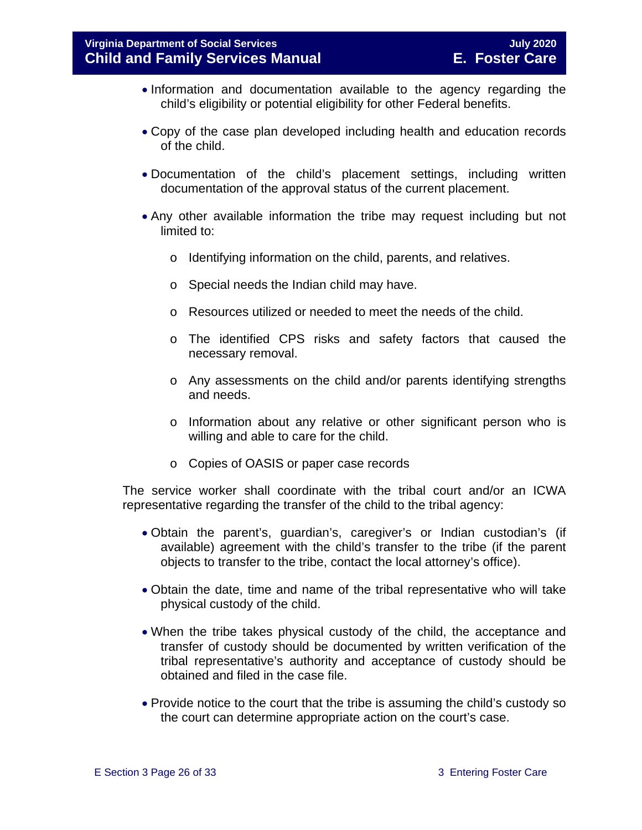- Information and documentation available to the agency regarding the child's eligibility or potential eligibility for other Federal benefits.
- Copy of the case plan developed including health and education records of the child.
- Documentation of the child's placement settings, including written documentation of the approval status of the current placement.
- Any other available information the tribe may request including but not limited to:
	- o Identifying information on the child, parents, and relatives.
	- o Special needs the Indian child may have.
	- o Resources utilized or needed to meet the needs of the child.
	- o The identified CPS risks and safety factors that caused the necessary removal.
	- o Any assessments on the child and/or parents identifying strengths and needs.
	- o Information about any relative or other significant person who is willing and able to care for the child.
	- o Copies of OASIS or paper case records

The service worker shall coordinate with the tribal court and/or an ICWA representative regarding the transfer of the child to the tribal agency:

- Obtain the parent's, guardian's, caregiver's or Indian custodian's (if available) agreement with the child's transfer to the tribe (if the parent objects to transfer to the tribe, contact the local attorney's office).
- Obtain the date, time and name of the tribal representative who will take physical custody of the child.
- When the tribe takes physical custody of the child, the acceptance and transfer of custody should be documented by written verification of the tribal representative's authority and acceptance of custody should be obtained and filed in the case file.
- Provide notice to the court that the tribe is assuming the child's custody so the court can determine appropriate action on the court's case.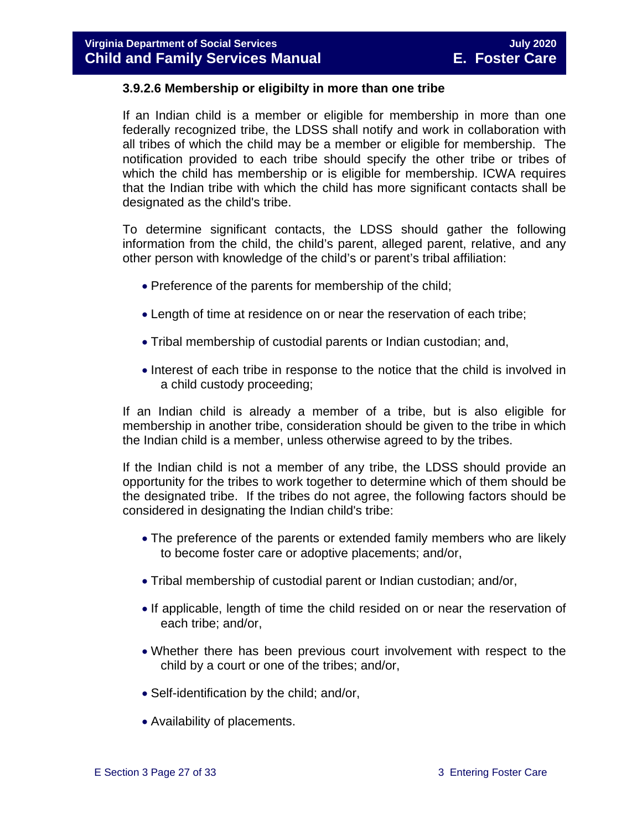#### **3.9.2.6 Membership or eligibilty in more than one tribe**

If an Indian child is a member or eligible for membership in more than one federally recognized tribe, the LDSS shall notify and work in collaboration with all tribes of which the child may be a member or eligible for membership. The notification provided to each tribe should specify the other tribe or tribes of which the child has membership or is eligible for membership. ICWA requires that the Indian tribe with which the child has more significant contacts shall be designated as the child's tribe.

To determine significant contacts, the LDSS should gather the following information from the child, the child's parent, alleged parent, relative, and any other person with knowledge of the child's or parent's tribal affiliation:

- Preference of the parents for membership of the child;
- Length of time at residence on or near the reservation of each tribe;
- Tribal membership of custodial parents or Indian custodian; and,
- Interest of each tribe in response to the notice that the child is involved in a child custody proceeding;

If an Indian child is already a member of a tribe, but is also eligible for membership in another tribe, consideration should be given to the tribe in which the Indian child is a member, unless otherwise agreed to by the tribes.

If the Indian child is not a member of any tribe, the LDSS should provide an opportunity for the tribes to work together to determine which of them should be the designated tribe. If the tribes do not agree, the following factors should be considered in designating the Indian child's tribe:

- The preference of the parents or extended family members who are likely to become foster care or adoptive placements; and/or,
- Tribal membership of custodial parent or Indian custodian; and/or,
- If applicable, length of time the child resided on or near the reservation of each tribe; and/or,
- Whether there has been previous court involvement with respect to the child by a court or one of the tribes; and/or,
- Self-identification by the child; and/or,
- Availability of placements.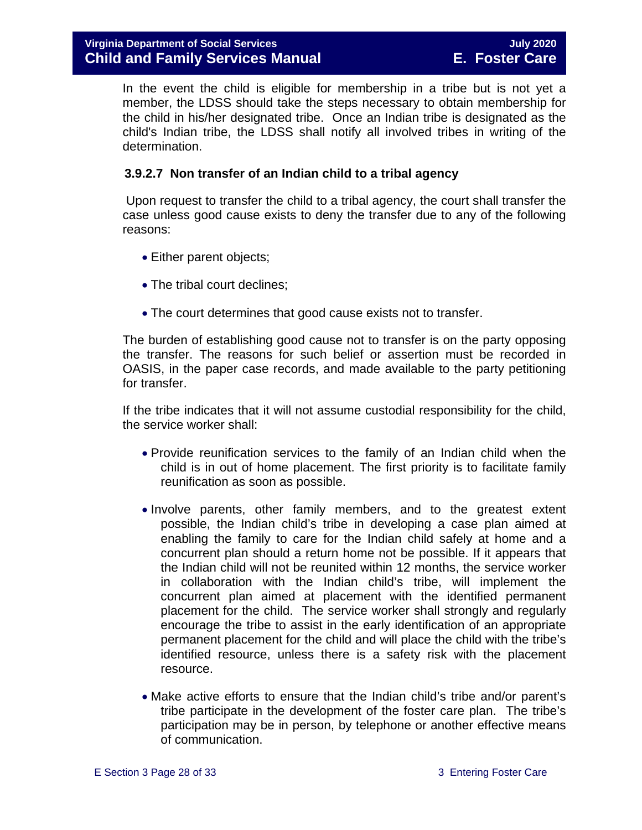In the event the child is eligible for membership in a tribe but is not yet a member, the LDSS should take the steps necessary to obtain membership for the child in his/her designated tribe. Once an Indian tribe is designated as the child's Indian tribe, the LDSS shall notify all involved tribes in writing of the determination.

#### **3.9.2.7 Non transfer of an Indian child to a tribal agency**

Upon request to transfer the child to a tribal agency, the court shall transfer the case unless good cause exists to deny the transfer due to any of the following reasons:

- Either parent objects;
- The tribal court declines;
- The court determines that good cause exists not to transfer.

The burden of establishing good cause not to transfer is on the party opposing the transfer. The reasons for such belief or assertion must be recorded in OASIS, in the paper case records, and made available to the party petitioning for transfer.

If the tribe indicates that it will not assume custodial responsibility for the child, the service worker shall:

- Provide reunification services to the family of an Indian child when the child is in out of home placement. The first priority is to facilitate family reunification as soon as possible.
- Involve parents, other family members, and to the greatest extent possible, the Indian child's tribe in developing a case plan aimed at enabling the family to care for the Indian child safely at home and a concurrent plan should a return home not be possible. If it appears that the Indian child will not be reunited within 12 months, the service worker in collaboration with the Indian child's tribe, will implement the concurrent plan aimed at placement with the identified permanent placement for the child. The service worker shall strongly and regularly encourage the tribe to assist in the early identification of an appropriate permanent placement for the child and will place the child with the tribe's identified resource, unless there is a safety risk with the placement resource.
- Make active efforts to ensure that the Indian child's tribe and/or parent's tribe participate in the development of the foster care plan. The tribe's participation may be in person, by telephone or another effective means of communication.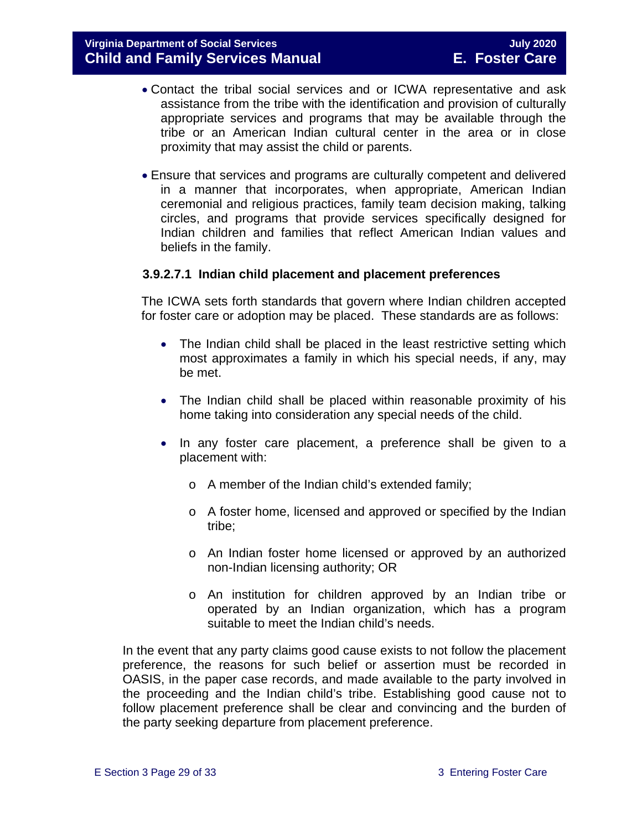- Contact the tribal social services and or ICWA representative and ask assistance from the tribe with the identification and provision of culturally appropriate services and programs that may be available through the tribe or an American Indian cultural center in the area or in close proximity that may assist the child or parents.
- Ensure that services and programs are culturally competent and delivered in a manner that incorporates, when appropriate, American Indian ceremonial and religious practices, family team decision making, talking circles, and programs that provide services specifically designed for Indian children and families that reflect American Indian values and beliefs in the family.

#### <span id="page-28-0"></span>**3.9.2.7.1 Indian child placement and placement preferences**

The ICWA sets forth standards that govern where Indian children accepted for foster care or adoption may be placed. These standards are as follows:

- The Indian child shall be placed in the least restrictive setting which most approximates a family in which his special needs, if any, may be met.
- The Indian child shall be placed within reasonable proximity of his home taking into consideration any special needs of the child.
- In any foster care placement, a preference shall be given to a placement with:
	- o A member of the Indian child's extended family;
	- o A foster home, licensed and approved or specified by the Indian tribe;
	- o An Indian foster home licensed or approved by an authorized non-Indian licensing authority; OR
	- o An institution for children approved by an Indian tribe or operated by an Indian organization, which has a program suitable to meet the Indian child's needs.

In the event that any party claims good cause exists to not follow the placement preference, the reasons for such belief or assertion must be recorded in OASIS, in the paper case records, and made available to the party involved in the proceeding and the Indian child's tribe. Establishing good cause not to follow placement preference shall be clear and convincing and the burden of the party seeking departure from placement preference.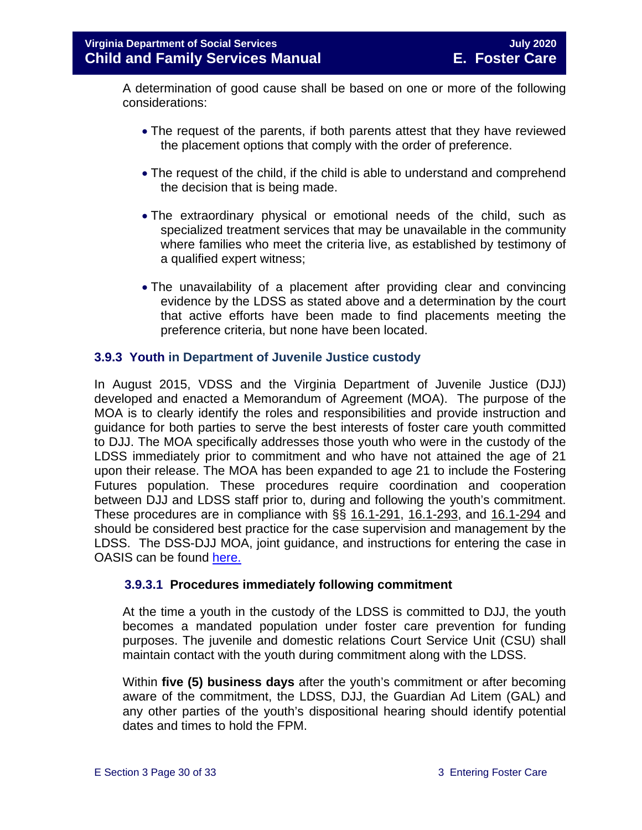A determination of good cause shall be based on one or more of the following considerations:

- The request of the parents, if both parents attest that they have reviewed the placement options that comply with the order of preference.
- The request of the child, if the child is able to understand and comprehend the decision that is being made.
- The extraordinary physical or emotional needs of the child, such as specialized treatment services that may be unavailable in the community where families who meet the criteria live, as established by testimony of a qualified expert witness;
- The unavailability of a placement after providing clear and convincing evidence by the LDSS as stated above and a determination by the court that active efforts have been made to find placements meeting the preference criteria, but none have been located.

#### <span id="page-29-0"></span>**3.9.3 Youth in Department of Juvenile Justice custody**

In August 2015, VDSS and the Virginia Department of Juvenile Justice (DJJ) developed and enacted a Memorandum of Agreement (MOA). The purpose of the MOA is to clearly identify the roles and responsibilities and provide instruction and guidance for both parties to serve the best interests of foster care youth committed to DJJ. The MOA specifically addresses those youth who were in the custody of the LDSS immediately prior to commitment and who have not attained the age of 21 upon their release. The MOA has been expanded to age 21 to include the Fostering Futures population. These procedures require coordination and cooperation between DJJ and LDSS staff prior to, during and following the youth's commitment. These procedures are in compliance with §§ [16.1-291,](http://leg1.state.va.us/cgi-bin/legp504.exe?000+cod+16.1-291) [16.1-293,](http://leg1.state.va.us/cgi-bin/legp504.exe?000+cod+16.1-293) and [16.1-294](http://leg1.state.va.us/cgi-bin/legp504.exe?000+cod+16.1-294) and should be considered best practice for the case supervision and management by the LDSS. The DSS-DJJ MOA, joint guidance, and instructions for entering the case in OASIS can be found [here.](https://fusion.dss.virginia.gov/dfs/DFS-Home/Foster-Care/Juvenile-Justice)

#### **3.9.3.1 Procedures immediately following commitment**

At the time a youth in the custody of the LDSS is committed to DJJ, the youth becomes a mandated population under foster care prevention for funding purposes. The juvenile and domestic relations Court Service Unit (CSU) shall maintain contact with the youth during commitment along with the LDSS.

Within **five (5) business days** after the youth's commitment or after becoming aware of the commitment, the LDSS, DJJ, the Guardian Ad Litem (GAL) and any other parties of the youth's dispositional hearing should identify potential dates and times to hold the FPM.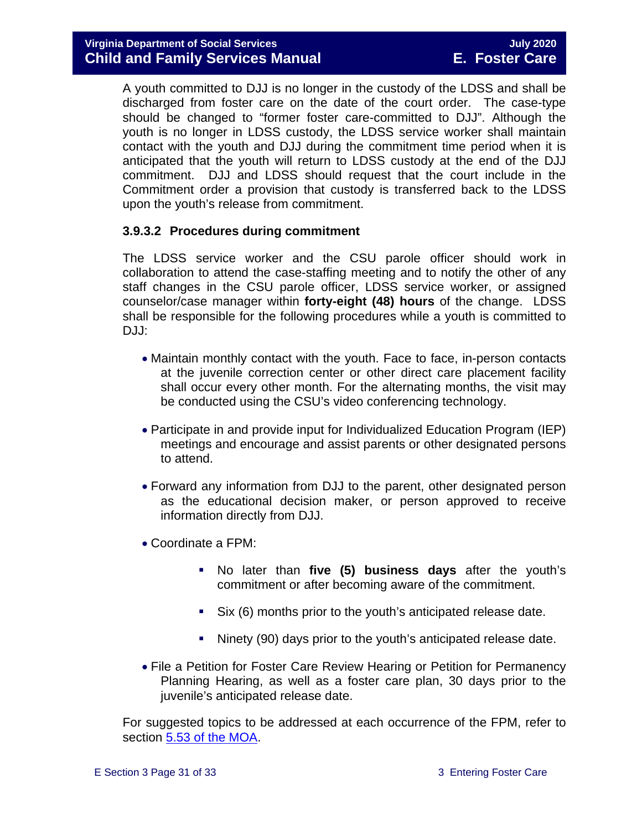A youth committed to DJJ is no longer in the custody of the LDSS and shall be discharged from foster care on the date of the court order. The case-type should be changed to "former foster care-committed to DJJ". Although the youth is no longer in LDSS custody, the LDSS service worker shall maintain contact with the youth and DJJ during the commitment time period when it is anticipated that the youth will return to LDSS custody at the end of the DJJ commitment. DJJ and LDSS should request that the court include in the Commitment order a provision that custody is transferred back to the LDSS upon the youth's release from commitment.

#### **3.9.3.2 Procedures during commitment**

The LDSS service worker and the CSU parole officer should work in collaboration to attend the case-staffing meeting and to notify the other of any staff changes in the CSU parole officer, LDSS service worker, or assigned counselor/case manager within **forty-eight (48) hours** of the change. LDSS shall be responsible for the following procedures while a youth is committed to DJJ:

- Maintain monthly contact with the youth. Face to face, in-person contacts at the juvenile correction center or other direct care placement facility shall occur every other month. For the alternating months, the visit may be conducted using the CSU's video conferencing technology.
- Participate in and provide input for Individualized Education Program (IEP) meetings and encourage and assist parents or other designated persons to attend.
- Forward any information from DJJ to the parent, other designated person as the educational decision maker, or person approved to receive information directly from DJJ.
- Coordinate a FPM:
	- No later than **five (5) business days** after the youth's commitment or after becoming aware of the commitment.
	- Six (6) months prior to the youth's anticipated release date.
	- Ninety (90) days prior to the youth's anticipated release date.
- File a Petition for Foster Care Review Hearing or Petition for Permanency Planning Hearing, as well as a foster care plan, 30 days prior to the juvenile's anticipated release date.

For suggested topics to be addressed at each occurrence of the FPM, refer to section [5.53 of the MOA.](https://fusion.dss.virginia.gov/Portals/%5Bdfs%5D/Files/Foster%20Care/Joint%20Guidance/Signed_MOA_for_VA_DSS__DJJ.PDF#page=9)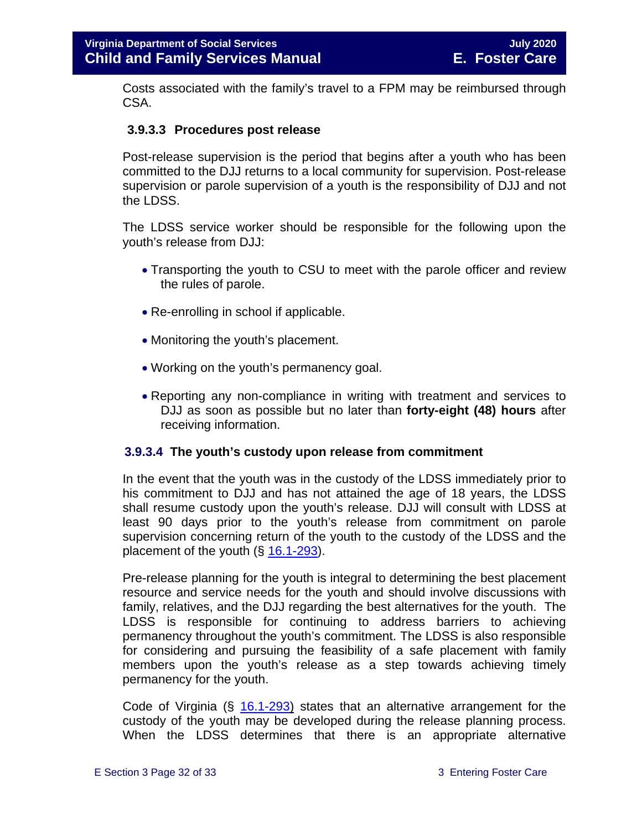Costs associated with the family's travel to a FPM may be reimbursed through CSA.

#### **3.9.3.3 Procedures post release**

Post-release supervision is the period that begins after a youth who has been committed to the DJJ returns to a local community for supervision. Post-release supervision or parole supervision of a youth is the responsibility of DJJ and not the LDSS.

The LDSS service worker should be responsible for the following upon the youth's release from DJJ:

- Transporting the youth to CSU to meet with the parole officer and review the rules of parole.
- Re-enrolling in school if applicable.
- Monitoring the youth's placement.
- Working on the youth's permanency goal.
- Reporting any non-compliance in writing with treatment and services to DJJ as soon as possible but no later than **forty-eight (48) hours** after receiving information.

#### **3.9.3.4 The youth's custody upon release from commitment**

In the event that the youth was in the custody of the LDSS immediately prior to his commitment to DJJ and has not attained the age of 18 years, the LDSS shall resume custody upon the youth's release. DJJ will consult with LDSS at least 90 days prior to the youth's release from commitment on parole supervision concerning return of the youth to the custody of the LDSS and the placement of the youth  $(\S 16.1-293)$  $(\S 16.1-293)$ .

Pre-release planning for the youth is integral to determining the best placement resource and service needs for the youth and should involve discussions with family, relatives, and the DJJ regarding the best alternatives for the youth. The LDSS is responsible for continuing to address barriers to achieving permanency throughout the youth's commitment. The LDSS is also responsible for considering and pursuing the feasibility of a safe placement with family members upon the youth's release as a step towards achieving timely permanency for the youth.

Code of Virginia (§ [16.1-293\)](https://law.lis.virginia.gov/vacode/16.1-293/) states that an alternative arrangement for the custody of the youth may be developed during the release planning process. When the LDSS determines that there is an appropriate alternative